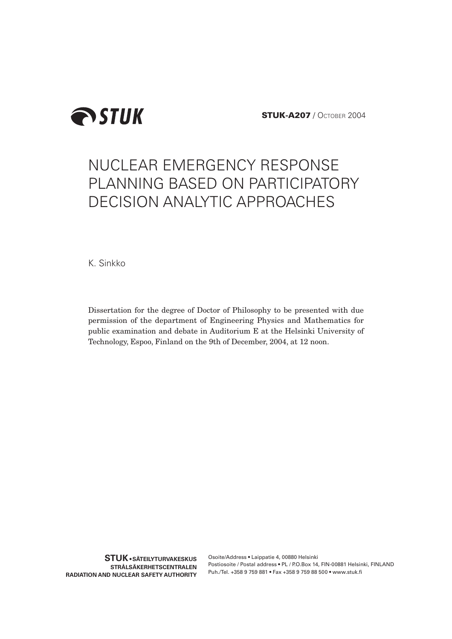

**STUK-A207** / OCTOBER 2004

# NUCLEAR EMERGENCY RESPONSE PLANNING BASED ON PARTICIPATORY DECISION ANALYTIC APPROACHES

K. Sinkko

Dissertation for the degree of Doctor of Philosophy to be presented with due permission of the department of Engineering Physics and Mathematics for public examination and debate in Auditorium E at the Helsinki University of Technology, Espoo, Finland on the 9th of December, 2004, at 12 noon.

Osoite/Address • Laippatie 4, 00880 Helsinki Postiosoite / Postal address • PL / P.O.Box 14, FIN-00881 Helsinki, FINLAND Puh./Tel. +358 9 759 881 • Fax +358 9 759 88 500 • www.stuk.fi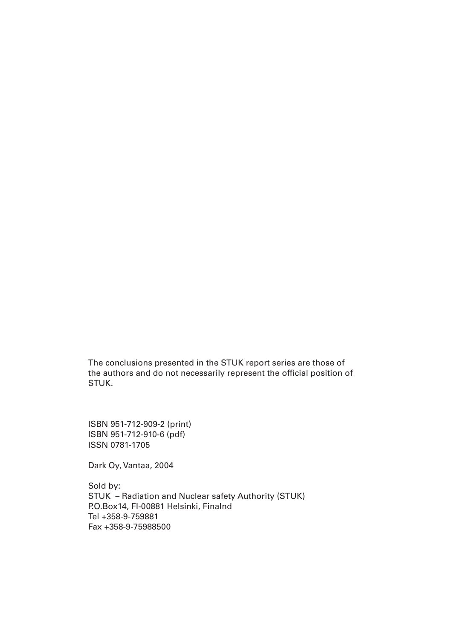The conclusions presented in the STUK report series are those of the authors and do not necessarily represent the official position of STUK.

ISBN 951-712-909-2 (print) ISBN 951-712-910-6 (pdf) ISSN 0781-1705

Dark Oy, Vantaa, 2004

Sold by: STUK – Radiation and Nuclear safety Authority (STUK) P.O.Box14, FI-00881 Helsinki, Finalnd Tel +358-9-759881 Fax +358-9-75988500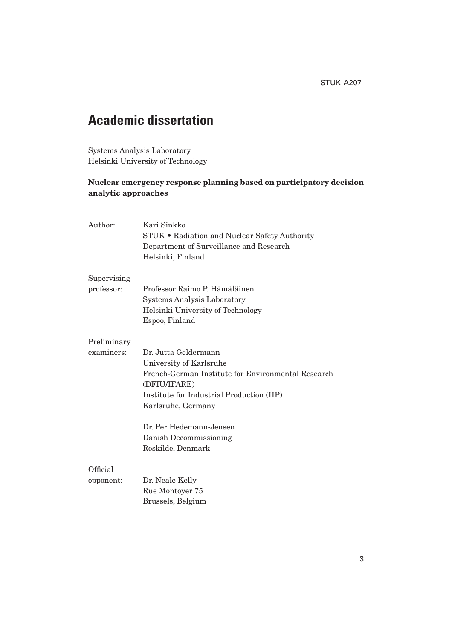# **Academic dissertation**

Systems Analysis Laboratory Helsinki University of Technology

### **Nuclear emergency response planning based on participatory decision analytic approaches**

| Author:                   | Kari Sinkko<br>STUK • Radiation and Nuclear Safety Authority<br>Department of Surveillance and Research<br>Helsinki, Finland                                                             |  |  |
|---------------------------|------------------------------------------------------------------------------------------------------------------------------------------------------------------------------------------|--|--|
| Supervising<br>professor: | Professor Raimo P. Hämäläinen<br><b>Systems Analysis Laboratory</b>                                                                                                                      |  |  |
|                           | Helsinki University of Technology<br>Espoo, Finland                                                                                                                                      |  |  |
| Preliminary               |                                                                                                                                                                                          |  |  |
| examiners:                | Dr. Jutta Geldermann<br>University of Karlsruhe<br>French-German Institute for Environmental Research<br>(DFIU/IFARE)<br>Institute for Industrial Production (IIP)<br>Karlsruhe, Germany |  |  |
|                           | Dr. Per Hedemann-Jensen<br>Danish Decommissioning<br>Roskilde, Denmark                                                                                                                   |  |  |
| Official<br>opponent:     | Dr. Neale Kelly<br>Rue Montoyer 75<br>Brussels, Belgium                                                                                                                                  |  |  |
|                           |                                                                                                                                                                                          |  |  |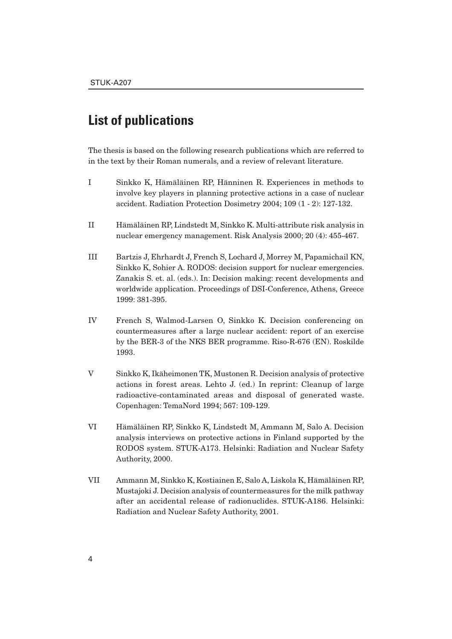# **List of publications**

The thesis is based on the following research publications which are referred to in the text by their Roman numerals, and a review of relevant literature.

- [I Sinkko K, Hämäläinen RP, Hänninen R. Experiences in methods to](http://www.stuk.fi/julkaisut/stuk-a/stuk-a207a1.pdf)  involve key players in planning protective actions in a case of nuclear accident. Radiation Protection Dosimetry 2004; 109 (1 - 2): 127-132.
- [II Hämäläinen RP, Lindstedt M, Sinkko K. Multi-attribute risk analysis in](http://www.stuk.fi/julkaisut/stuk-a/stuk-a207a2.pdf)  nuclear emergency management. Risk Analysis 2000; 20 (4): 455-467.
- [III Bartzis J, Ehrhardt J, French S, Lochard J, Morrey M, Papamichail KN,](http://www.stuk.fi/julkaisut/stuk-a/stuk-a207a3.pdf)  Sinkko K, Sohier A. RODOS: decision support for nuclear emergencies. Zanakis S. et. al. (eds.). In: Decision making: recent developments and worldwide application. Proceedings of DSI-Conference, Athens, Greece 1999: 381-395.
- [IV French S, Walmod-Larsen O, Sinkko K. Decision conferencing on](http://www.stuk.fi/julkaisut/stuk-a/stuk-a207a4.pdf)  countermeasures after a large nuclear accident: report of an exercise by the BER-3 of the NKS BER programme. Riso-R-676 (EN). Roskilde 1993.
- [V Sinkko K, Ikäheimonen TK, Mustonen R. Decision analysis of protective](http://www.stuk.fi/julkaisut/stuk-a/stuk-a207a5.pdf)  actions in forest areas. Lehto J. (ed.) In reprint: Cleanup of large radioactive-contaminated areas and disposal of generated waste. Copenhagen: TemaNord 1994; 567: 109-129.
- [VI Hämäläinen RP, Sinkko K, Lindstedt M, Ammann M, Salo A. Decision](http://www.stuk.fi/julkaisut/stuk-a/stuk-a173.pdf)  analysis interviews on protective actions in Finland supported by the RODOS system. STUK-A173. Helsinki: Radiation and Nuclear Safety Authority, 2000.
- [VII Ammann M, Sinkko K, Kostiainen E, Salo A, Liskola K, Hämäläinen RP,](http://www.stuk.fi/julkaisut/stuk-a/stuk-a186.pdf)  Mustajoki J. Decision analysis of countermeasures for the milk pathway after an accidental release of radionuclides. STUK-A186. Helsinki: Radiation and Nuclear Safety Authority, 2001.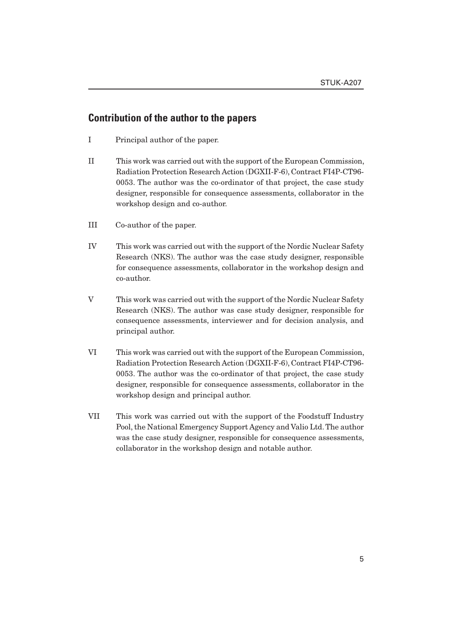### **Contribution of the author to the papers**

- I Principal author of the paper.
- II This work was carried out with the support of the European Commission, Radiation Protection Research Action (DGXII-F-6), Contract FI4P-CT96- 0053. The author was the co-ordinator of that project, the case study designer, responsible for consequence assessments, collaborator in the workshop design and co-author.
- III Co-author of the paper.
- IV This work was carried out with the support of the Nordic Nuclear Safety Research (NKS). The author was the case study designer, responsible for consequence assessments, collaborator in the workshop design and co-author.
- V This work was carried out with the support of the Nordic Nuclear Safety Research (NKS). The author was case study designer, responsible for consequence assessments, interviewer and for decision analysis, and principal author.
- VI This work was carried out with the support of the European Commission, Radiation Protection Research Action (DGXII-F-6), Contract FI4P-CT96- 0053. The author was the co-ordinator of that project, the case study designer, responsible for consequence assessments, collaborator in the workshop design and principal author.
- VII This work was carried out with the support of the Foodstuff Industry Pool, the National Emergency Support Agency and Valio Ltd. The author was the case study designer, responsible for consequence assessments, collaborator in the workshop design and notable author.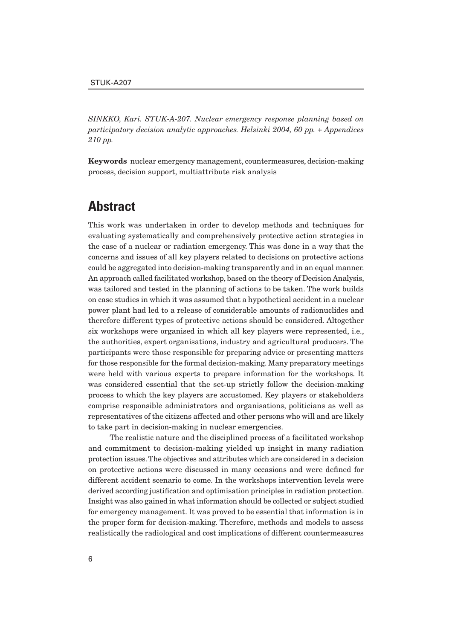*SINKKO, Kari. STUK-A-207. Nuclear emergency response planning based on participatory decision analytic approaches. Helsinki 2004, 60 pp. + Appendices 210 pp.*

**Keywords** nuclear emergency management, countermeasures, decision-making process, decision support, multiattribute risk analysis

# **Abstract**

This work was undertaken in order to develop methods and techniques for evaluating systematically and comprehensively protective action strategies in the case of a nuclear or radiation emergency. This was done in a way that the concerns and issues of all key players related to decisions on protective actions could be aggregated into decision-making transparently and in an equal manner. An approach called facilitated workshop, based on the theory of Decision Analysis, was tailored and tested in the planning of actions to be taken. The work builds on case studies in which it was assumed that a hypothetical accident in a nuclear power plant had led to a release of considerable amounts of radionuclides and therefore different types of protective actions should be considered. Altogether six workshops were organised in which all key players were represented, i.e., the authorities, expert organisations, industry and agricultural producers. The participants were those responsible for preparing advice or presenting matters for those responsible for the formal decision-making. Many preparatory meetings were held with various experts to prepare information for the workshops. It was considered essential that the set-up strictly follow the decision-making process to which the key players are accustomed. Key players or stakeholders comprise responsible administrators and organisations, politicians as well as representatives of the citizens affected and other persons who will and are likely to take part in decision-making in nuclear emergencies.

The realistic nature and the disciplined process of a facilitated workshop and commitment to decision-making yielded up insight in many radiation protection issues. The objectives and attributes which are considered in a decision on protective actions were discussed in many occasions and were defined for different accident scenario to come. In the workshops intervention levels were derived according justification and optimisation principles in radiation protection. Insight was also gained in what information should be collected or subject studied for emergency management. It was proved to be essential that information is in the proper form for decision-making. Therefore, methods and models to assess realistically the radiological and cost implications of different countermeasures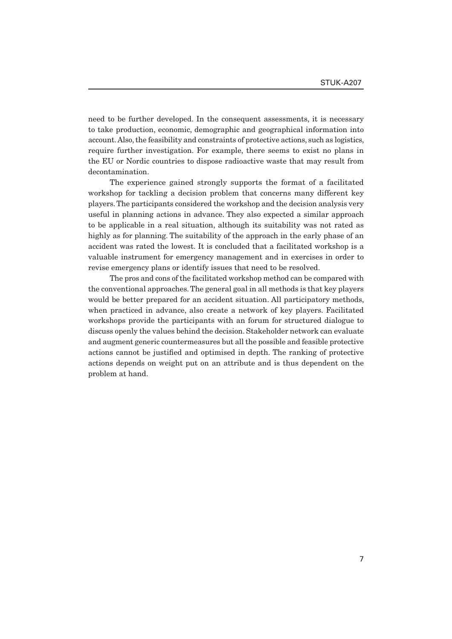need to be further developed. In the consequent assessments, it is necessary to take production, economic, demographic and geographical information into account. Also, the feasibility and constraints of protective actions, such as logistics, require further investigation. For example, there seems to exist no plans in the EU or Nordic countries to dispose radioactive waste that may result from decontamination.

The experience gained strongly supports the format of a facilitated workshop for tackling a decision problem that concerns many different key players. The participants considered the workshop and the decision analysis very useful in planning actions in advance. They also expected a similar approach to be applicable in a real situation, although its suitability was not rated as highly as for planning. The suitability of the approach in the early phase of an accident was rated the lowest. It is concluded that a facilitated workshop is a valuable instrument for emergency management and in exercises in order to revise emergency plans or identify issues that need to be resolved.

The pros and cons of the facilitated workshop method can be compared with the conventional approaches. The general goal in all methods is that key players would be better prepared for an accident situation. All participatory methods, when practiced in advance, also create a network of key players. Facilitated workshops provide the participants with an forum for structured dialogue to discuss openly the values behind the decision. Stakeholder network can evaluate and augment generic countermeasures but all the possible and feasible protective actions cannot be justified and optimised in depth. The ranking of protective actions depends on weight put on an attribute and is thus dependent on the problem at hand.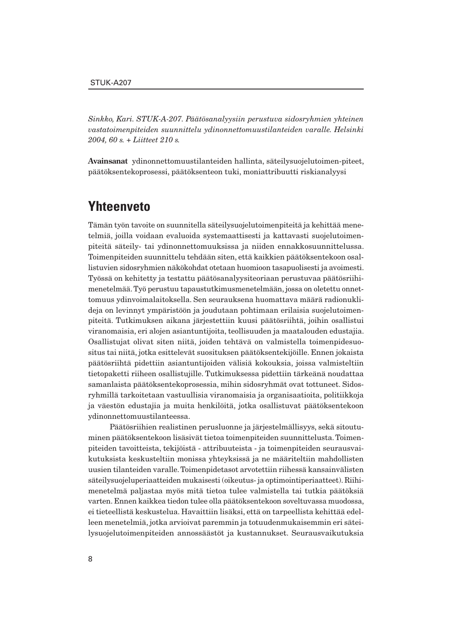*Sinkko, Kari. STUK-A-207. Päätösanalyysiin perustuva sidosryhmien yhteinen vastatoimenpiteiden suunnittelu ydinonnettomuustilanteiden varalle. Helsinki 2004, 60 s. + Liitteet 210 s.*

**Avainsanat** ydinonnettomuustilanteiden hallinta, säteilysuojelutoimen-piteet, päätöksentekoprosessi, päätöksenteon tuki, moniattribuutti riskianalyysi

## **Yhteenveto**

Tämän työn tavoite on suunnitella säteilysuojelutoimenpiteitä ja kehittää menetelmiä, joilla voidaan evaluoida systemaattisesti ja kattavasti suojelutoimenpiteitä säteily- tai ydinonnettomuuksissa ja niiden ennakkosuunnittelussa. Toimenpiteiden suunnittelu tehdään siten, että kaikkien päätöksentekoon osallistuvien sidosryhmien näkökohdat otetaan huomioon tasapuolisesti ja avoimesti. Työssä on kehitetty ja testattu päätösanalyysiteoriaan perustuvaa päätösriihimenetelmää. Työ perustuu tapaustutkimusmenetelmään, jossa on oletettu onnettomuus ydinvoimalaitoksella. Sen seurauksena huomattava määrä radionuklideja on levinnyt ympäristöön ja joudutaan pohtimaan erilaisia suojelutoimenpiteitä. Tutkimuksen aikana järjestettiin kuusi päätösriihtä, joihin osallistui viranomaisia, eri alojen asiantuntijoita, teollisuuden ja maatalouden edustajia. Osallistujat olivat siten niitä, joiden tehtävä on valmistella toimenpidesuositus tai niitä, jotka esittelevät suosituksen päätöksentekijöille. Ennen jokaista päätösriihtä pidettiin asiantuntijoiden välisiä kokouksia, joissa valmisteltiin tietopaketti riiheen osallistujille. Tutkimuksessa pidettiin tärkeänä noudattaa samanlaista päätöksentekoprosessia, mihin sidosryhmät ovat tottuneet. Sidosryhmillä tarkoitetaan vastuullisia viranomaisia ja organisaatioita, politiikkoja ja väestön edustajia ja muita henkilöitä, jotka osallistuvat päätöksentekoon ydinonnettomuustilanteessa.

Päätösriihien realistinen perusluonne ja järjestelmällisyys, sekä sitoutuminen päätöksentekoon lisäsivät tietoa toimenpiteiden suunnittelusta. Toimenpiteiden tavoitteista, tekijöistä - attribuuteista - ja toimenpiteiden seurausvaikutuksista keskusteltiin monissa yhteyksissä ja ne määriteltiin mahdollisten uusien tilanteiden varalle. Toimenpidetasot arvotettiin riihessä kansainvälisten säteilysuojeluperiaatteiden mukaisesti (oikeutus- ja optimointiperiaatteet). Riihimenetelmä paljastaa myös mitä tietoa tulee valmistella tai tutkia päätöksiä varten. Ennen kaikkea tiedon tulee olla päätöksentekoon soveltuvassa muodossa, ei tieteellistä keskustelua. Havaittiin lisäksi, että on tarpeellista kehittää edelleen menetelmiä, jotka arvioivat paremmin ja totuudenmukaisemmin eri säteilysuojelutoimenpiteiden annossäästöt ja kustannukset. Seurausvaikutuksia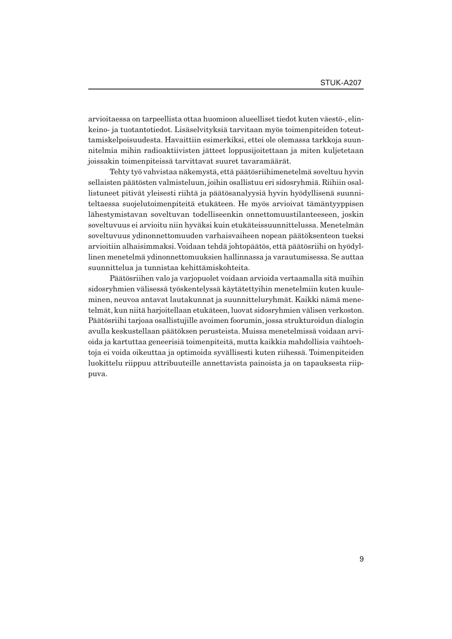arvioitaessa on tarpeellista ottaa huomioon alueelliset tiedot kuten väestö-, elinkeino- ja tuotantotiedot. Lisäselvityksiä tarvitaan myös toimenpiteiden toteuttamiskelpoisuudesta. Havaittiin esimerkiksi, ettei ole olemassa tarkkoja suunnitelmia mihin radioaktiivisten jätteet loppusijoitettaan ja miten kuljetetaan joissakin toimenpiteissä tarvittavat suuret tavaramäärät.

Tehty työ vahvistaa näkemystä, että päätösriihimenetelmä soveltuu hyvin sellaisten päätösten valmisteluun, joihin osallistuu eri sidosryhmiä. Riihiin osallistuneet pitivät yleisesti riihtä ja päätösanalyysiä hyvin hyödyllisenä suunniteltaessa suojelutoimenpiteitä etukäteen. He myös arvioivat tämäntyyppisen lähestymistavan soveltuvan todelliseenkin onnettomuustilanteeseen, joskin soveltuvuus ei arvioitu niin hyväksi kuin etukäteissuunnittelussa. Menetelmän soveltuvuus ydinonnettomuuden varhaisvaiheen nopean päätöksenteon tueksi arvioitiin alhaisimmaksi. Voidaan tehdä johtopäätös, että päätösriihi on hyödyllinen menetelmä ydinonnettomuuksien hallinnassa ja varautumisessa. Se auttaa suunnittelua ja tunnistaa kehittämiskohteita.

Päätösriihen valo ja varjopuolet voidaan arvioida vertaamalla sitä muihin sidosryhmien välisessä työskentelyssä käytätettyihin menetelmiin kuten kuuleminen, neuvoa antavat lautakunnat ja suunnitteluryhmät. Kaikki nämä menetelmät, kun niitä harjoitellaan etukäteen, luovat sidosryhmien välisen verkoston. Päätösriihi tarjoaa osallistujille avoimen foorumin, jossa strukturoidun dialogin avulla keskustellaan päätöksen perusteista. Muissa menetelmissä voidaan arvioida ja kartuttaa geneerisiä toimenpiteitä, mutta kaikkia mahdollisia vaihtoehtoja ei voida oikeuttaa ja optimoida syvällisesti kuten riihessä. Toimenpiteiden luokittelu riippuu attribuuteille annettavista painoista ja on tapauksesta riippuva.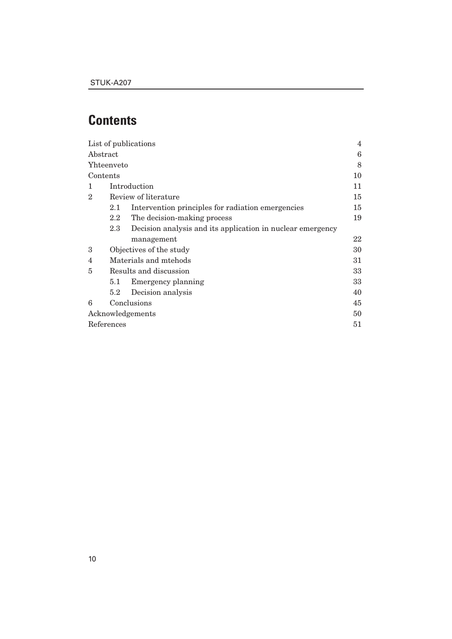# **Contents**

|                   |                         | List of publications                                       | 4  |  |
|-------------------|-------------------------|------------------------------------------------------------|----|--|
| Abstract          |                         |                                                            | 6  |  |
| <b>Yhteenveto</b> |                         |                                                            | 8  |  |
| Contents          |                         |                                                            | 10 |  |
| 1                 | Introduction            |                                                            |    |  |
| $\overline{2}$    | Review of literature    |                                                            | 15 |  |
|                   | 2.1                     | Intervention principles for radiation emergencies          | 15 |  |
|                   | $2.2\phantom{0}$        | The decision-making process                                | 19 |  |
|                   | 2.3                     | Decision analysis and its application in nuclear emergency |    |  |
|                   |                         | management                                                 | 22 |  |
| 3                 | Objectives of the study |                                                            |    |  |
| 4                 | Materials and mtehods   |                                                            |    |  |
| 5                 | Results and discussion  |                                                            |    |  |
|                   | 5.1                     | Emergency planning                                         | 33 |  |
|                   | $5.2\,$                 | Decision analysis                                          | 40 |  |
| 6                 | Conclusions             |                                                            | 45 |  |
| Acknowledgements  |                         | 50                                                         |    |  |
| References        |                         |                                                            | 51 |  |
|                   |                         |                                                            |    |  |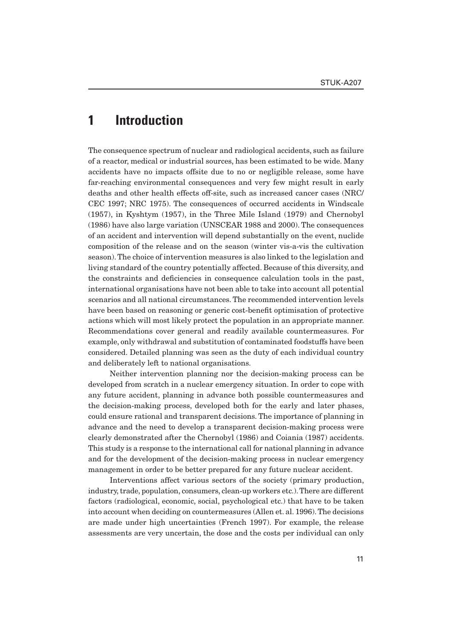# **1 Introduction**

The consequence spectrum of nuclear and radiological accidents, such as failure of a reactor, medical or industrial sources, has been estimated to be wide. Many accidents have no impacts offsite due to no or negligible release, some have far-reaching environmental consequences and very few might result in early deaths and other health effects off-site, such as increased cancer cases (NRC/ CEC 1997; NRC 1975). The consequences of occurred accidents in Windscale (1957), in Kyshtym (1957), in the Three Mile Island (1979) and Chernobyl (1986) have also large variation (UNSCEAR 1988 and 2000). The consequences of an accident and intervention will depend substantially on the event, nuclide composition of the release and on the season (winter vis-a-vis the cultivation season). The choice of intervention measures is also linked to the legislation and living standard of the country potentially affected. Because of this diversity, and the constraints and deficiencies in consequence calculation tools in the past, international organisations have not been able to take into account all potential scenarios and all national circumstances. The recommended intervention levels have been based on reasoning or generic cost-benefit optimisation of protective actions which will most likely protect the population in an appropriate manner. Recommendations cover general and readily available countermeasures. For example, only withdrawal and substitution of contaminated foodstuffs have been considered. Detailed planning was seen as the duty of each individual country and deliberately left to national organisations.

Neither intervention planning nor the decision-making process can be developed from scratch in a nuclear emergency situation. In order to cope with any future accident, planning in advance both possible countermeasures and the decision-making process, developed both for the early and later phases, could ensure rational and transparent decisions. The importance of planning in advance and the need to develop a transparent decision-making process were clearly demonstrated after the Chernobyl (1986) and Coiania (1987) accidents. This study is a response to the international call for national planning in advance and for the development of the decision-making process in nuclear emergency management in order to be better prepared for any future nuclear accident.

Interventions affect various sectors of the society (primary production, industry, trade, population, consumers, clean-up workers etc.). There are different factors (radiological, economic, social, psychological etc.) that have to be taken into account when deciding on countermeasures (Allen et. al. 1996). The decisions are made under high uncertainties (French 1997). For example, the release assessments are very uncertain, the dose and the costs per individual can only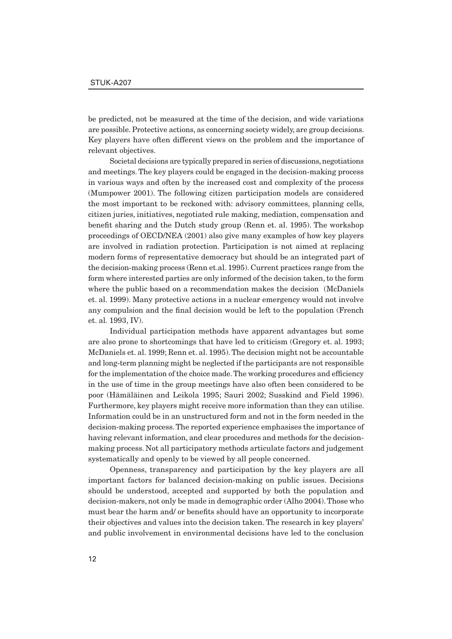be predicted, not be measured at the time of the decision, and wide variations are possible. Protective actions, as concerning society widely, are group decisions. Key players have often different views on the problem and the importance of relevant objectives.

Societal decisions are typically prepared in series of discussions, negotiations and meetings. The key players could be engaged in the decision-making process in various ways and often by the increased cost and complexity of the process (Mumpower 2001). The following citizen participation models are considered the most important to be reckoned with: advisory committees, planning cells, citizen juries, initiatives, negotiated rule making, mediation, compensation and benefit sharing and the Dutch study group (Renn et. al. 1995). The workshop proceedings of OECD/NEA (2001) also give many examples of how key players are involved in radiation protection. Participation is not aimed at replacing modern forms of representative democracy but should be an integrated part of the decision-making process (Renn et.al. 1995). Current practices range from the form where interested parties are only informed of the decision taken, to the form where the public based on a recommendation makes the decision (McDaniels et. al. 1999). Many protective actions in a nuclear emergency would not involve any compulsion and the final decision would be left to the population (French et. al. 1993, IV).

Individual participation methods have apparent advantages but some are also prone to shortcomings that have led to criticism (Gregory et. al. 1993; McDaniels et. al. 1999; Renn et. al. 1995). The decision might not be accountable and long-term planning might be neglected if the participants are not responsible for the implementation of the choice made. The working procedures and efficiency in the use of time in the group meetings have also often been considered to be poor (Hämäläinen and Leikola 1995; Sauri 2002; Susskind and Field 1996). Furthermore, key players might receive more information than they can utilise. Information could be in an unstructured form and not in the form needed in the decision-making process. The reported experience emphasises the importance of having relevant information, and clear procedures and methods for the decisionmaking process. Not all participatory methods articulate factors and judgement systematically and openly to be viewed by all people concerned.

Openness, transparency and participation by the key players are all important factors for balanced decision-making on public issues. Decisions should be understood, accepted and supported by both the population and decision-makers, not only be made in demographic order (Alho 2004). Those who must bear the harm and/ or benefits should have an opportunity to incorporate their objectives and values into the decision taken. The research in key players' and public involvement in environmental decisions have led to the conclusion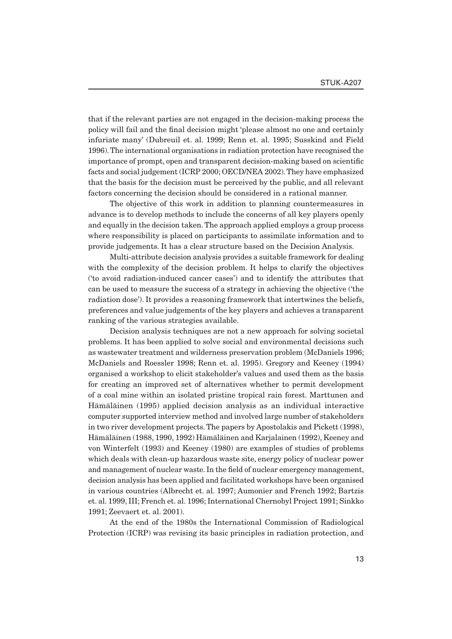that if the relevant parties are not engaged in the decision-making process the policy will fail and the final decision might 'please almost no one and certainly infuriate many' (Dubreuil et. al. 1999; Renn et. al. 1995; Susskind and Field 1996). The international organisations in radiation protection have recognised the importance of prompt, open and transparent decision-making based on scientific facts and social judgement (ICRP 2000; OECD/NEA 2002). They have emphasized that the basis for the decision must be perceived by the public, and all relevant factors concerning the decision should be considered in a rational manner.

The objective of this work in addition to planning countermeasures in advance is to develop methods to include the concerns of all key players openly and equally in the decision taken. The approach applied employs a group process where responsibility is placed on participants to assimilate information and to provide judgements. It has a clear structure based on the Decision Analysis.

Multi-attribute decision analysis provides a suitable framework for dealing with the complexity of the decision problem. It helps to clarify the objectives ('to avoid radiation-induced cancer cases') and to identify the attributes that can be used to measure the success of a strategy in achieving the objective ('the radiation dose'). It provides a reasoning framework that intertwines the beliefs, preferences and value judgements of the key players and achieves a transparent ranking of the various strategies available.

Decision analysis techniques are not a new approach for solving societal problems. It has been applied to solve social and environmental decisions such as wastewater treatment and wilderness preservation problem (McDaniels 1996; McDaniels and Roessler 1998; Renn et. al. 1995). Gregory and Keeney (1994) organised a workshop to elicit stakeholder's values and used them as the basis for creating an improved set of alternatives whether to permit development of a coal mine within an isolated pristine tropical rain forest. Marttunen and Hämäläinen (1995) applied decision analysis as an individual interactive computer supported interview method and involved large number of stakeholders in two river development projects. The papers by Apostolakis and Pickett (1998), Hämäläinen (1988, 1990, 1992) Hämäläinen and Karjalainen (1992), Keeney and von Winterfelt (1993) and Keeney (1980) are examples of studies of problems which deals with clean-up hazardous waste site, energy policy of nuclear power and management of nuclear waste. In the field of nuclear emergency management, decision analysis has been applied and facilitated workshops have been organised in various countries (Albrecht et. al. 1997; Aumonier and French 1992; Bartzis et. al. 1999, III; French et. al. 1996; International Chernobyl Project 1991; Sinkko 1991; Zeevaert et. al. 2001).

At the end of the 1980s the International Commission of Radiological Protection (ICRP) was revising its basic principles in radiation protection, and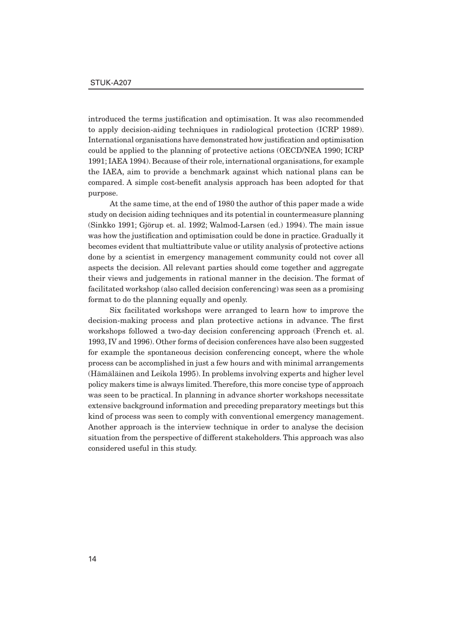introduced the terms justification and optimisation. It was also recommended to apply decision-aiding techniques in radiological protection (ICRP 1989). International organisations have demonstrated how justification and optimisation could be applied to the planning of protective actions (OECD/NEA 1990; ICRP 1991; IAEA 1994). Because of their role, international organisations, for example the IAEA, aim to provide a benchmark against which national plans can be compared. A simple cost-benefit analysis approach has been adopted for that purpose.

At the same time, at the end of 1980 the author of this paper made a wide study on decision aiding techniques and its potential in countermeasure planning (Sinkko 1991; Gjörup et. al. 1992; Walmod-Larsen (ed.) 1994). The main issue was how the justification and optimisation could be done in practice. Gradually it becomes evident that multiattribute value or utility analysis of protective actions done by a scientist in emergency management community could not cover all aspects the decision. All relevant parties should come together and aggregate their views and judgements in rational manner in the decision. The format of facilitated workshop (also called decision conferencing) was seen as a promising format to do the planning equally and openly.

Six facilitated workshops were arranged to learn how to improve the decision-making process and plan protective actions in advance. The first workshops followed a two-day decision conferencing approach (French et. al. 1993, IV and 1996). Other forms of decision conferences have also been suggested for example the spontaneous decision conferencing concept, where the whole process can be accomplished in just a few hours and with minimal arrangements (Hämäläinen and Leikola 1995). In problems involving experts and higher level policy makers time is always limited. Therefore, this more concise type of approach was seen to be practical. In planning in advance shorter workshops necessitate extensive background information and preceding preparatory meetings but this kind of process was seen to comply with conventional emergency management. Another approach is the interview technique in order to analyse the decision situation from the perspective of different stakeholders. This approach was also considered useful in this study.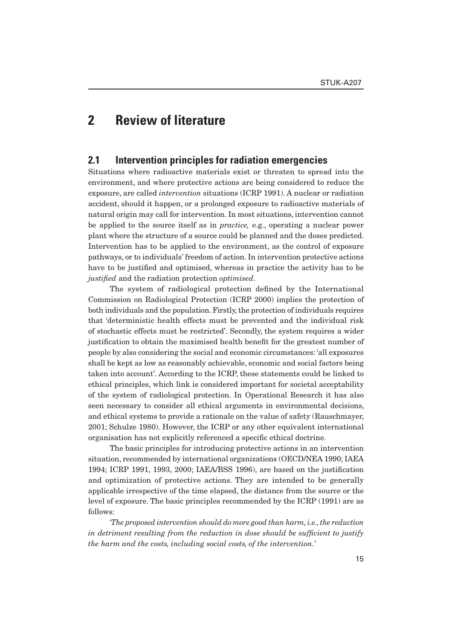### **2 Review of literature**

### **2.1 Intervention principles for radiation emergencies**

Situations where radioactive materials exist or threaten to spread into the environment, and where protective actions are being considered to reduce the exposure, are called *intervention* situations (ICRP 1991). A nuclear or radiation accident, should it happen, or a prolonged exposure to radioactive materials of natural origin may call for intervention. In most situations, intervention cannot be applied to the source itself as in *practice,* e.g., operating a nuclear power plant where the structure of a source could be planned and the doses predicted. Intervention has to be applied to the environment, as the control of exposure pathways, or to individuals' freedom of action. In intervention protective actions have to be justified and optimised, whereas in practice the activity has to be *justified* and the radiation protection *optimised*.

The system of radiological protection defined by the International Commission on Radiological Protection (ICRP 2000) implies the protection of both individuals and the population. Firstly, the protection of individuals requires that 'deterministic health effects must be prevented and the individual risk of stochastic effects must be restricted'. Secondly, the system requires a wider justification to obtain the maximised health benefit for the greatest number of people by also considering the social and economic circumstances: 'all exposures shall be kept as low as reasonably achievable, economic and social factors being taken into account'. According to the ICRP, these statements could be linked to ethical principles, which link is considered important for societal acceptability of the system of radiological protection. In Operational Research it has also seen necessary to consider all ethical arguments in environmental decisions, and ethical systems to provide a rationale on the value of safety (Rauschmayer, 2001; Schulze 1980). However, the ICRP or any other equivalent international organisation has not explicitly referenced a specific ethical doctrine.

The basic principles for introducing protective actions in an intervention situation, recommended by international organizations (OECD/NEA 1990; IAEA 1994; ICRP 1991, 1993, 2000; IAEA/BSS 1996), are based on the justification and optimization of protective actions. They are intended to be generally applicable irrespective of the time elapsed, the distance from the source or the level of exposure. The basic principles recommended by the ICRP (1991) are as follows:

*'The proposed intervention should do more good than harm, i.e., the reduction in detriment resulting from the reduction in dose should be sufficient to justify the harm and the costs, including social costs, of the intervention.'*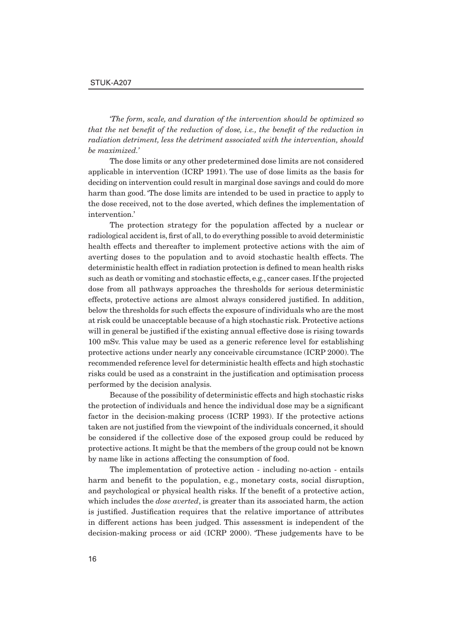*'The form, scale, and duration of the intervention should be optimized so that the net benefit of the reduction of dose, i.e., the benefit of the reduction in radiation detriment, less the detriment associated with the intervention, should be maximized.'*

The dose limits or any other predetermined dose limits are not considered applicable in intervention (ICRP 1991). The use of dose limits as the basis for deciding on intervention could result in marginal dose savings and could do more harm than good. 'The dose limits are intended to be used in practice to apply to the dose received, not to the dose averted, which defines the implementation of intervention.'

The protection strategy for the population affected by a nuclear or radiological accident is, first of all, to do everything possible to avoid deterministic health effects and thereafter to implement protective actions with the aim of averting doses to the population and to avoid stochastic health effects. The deterministic health effect in radiation protection is defined to mean health risks such as death or vomiting and stochastic effects, e.g., cancer cases. If the projected dose from all pathways approaches the thresholds for serious deterministic effects, protective actions are almost always considered justified. In addition, below the thresholds for such effects the exposure of individuals who are the most at risk could be unacceptable because of a high stochastic risk. Protective actions will in general be justified if the existing annual effective dose is rising towards 100 mSv. This value may be used as a generic reference level for establishing protective actions under nearly any conceivable circumstance (ICRP 2000). The recommended reference level for deterministic health effects and high stochastic risks could be used as a constraint in the justification and optimisation process performed by the decision analysis.

Because of the possibility of deterministic effects and high stochastic risks the protection of individuals and hence the individual dose may be a significant factor in the decision-making process (ICRP 1993). If the protective actions taken are not justified from the viewpoint of the individuals concerned, it should be considered if the collective dose of the exposed group could be reduced by protective actions. It might be that the members of the group could not be known by name like in actions affecting the consumption of food.

The implementation of protective action - including no-action - entails harm and benefit to the population, e.g., monetary costs, social disruption, and psychological or physical health risks. If the benefit of a protective action, which includes the *dose averted*, is greater than its associated harm, the action is justified. Justification requires that the relative importance of attributes in different actions has been judged. This assessment is independent of the decision-making process or aid (ICRP 2000). 'These judgements have to be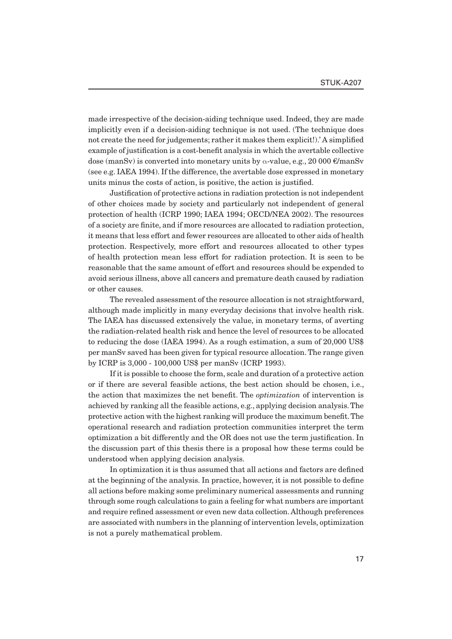made irrespective of the decision-aiding technique used. Indeed, they are made implicitly even if a decision-aiding technique is not used. (The technique does not create the need for judgements; rather it makes them explicit!).' A simplified example of justification is a cost-benefit analysis in which the avertable collective dose (manSv) is converted into monetary units by α-value, e.g., 20 000 €/manSv (see e.g. IAEA 1994). If the difference, the avertable dose expressed in monetary units minus the costs of action, is positive, the action is justified.

Justification of protective actions in radiation protection is not independent of other choices made by society and particularly not independent of general protection of health (ICRP 1990; IAEA 1994; OECD/NEA 2002). The resources of a society are finite, and if more resources are allocated to radiation protection, it means that less effort and fewer resources are allocated to other aids of health protection. Respectively, more effort and resources allocated to other types of health protection mean less effort for radiation protection. It is seen to be reasonable that the same amount of effort and resources should be expended to avoid serious illness, above all cancers and premature death caused by radiation or other causes.

The revealed assessment of the resource allocation is not straightforward, although made implicitly in many everyday decisions that involve health risk. The IAEA has discussed extensively the value, in monetary terms, of averting the radiation-related health risk and hence the level of resources to be allocated to reducing the dose (IAEA 1994). As a rough estimation, a sum of 20,000 US\$ per manSv saved has been given for typical resource allocation. The range given by ICRP is 3,000 - 100,000 US\$ per manSv (ICRP 1993).

If it is possible to choose the form, scale and duration of a protective action or if there are several feasible actions, the best action should be chosen, i.e., the action that maximizes the net benefit. The *optimization* of intervention is achieved by ranking all the feasible actions, e.g., applying decision analysis. The protective action with the highest ranking will produce the maximum benefit. The operational research and radiation protection communities interpret the term optimization a bit differently and the OR does not use the term justification. In the discussion part of this thesis there is a proposal how these terms could be understood when applying decision analysis.

In optimization it is thus assumed that all actions and factors are defined at the beginning of the analysis. In practice, however, it is not possible to define all actions before making some preliminary numerical assessments and running through some rough calculations to gain a feeling for what numbers are important and require refined assessment or even new data collection. Although preferences are associated with numbers in the planning of intervention levels, optimization is not a purely mathematical problem.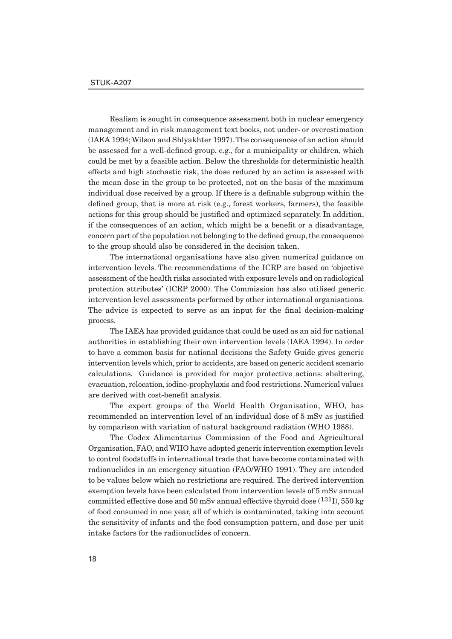Realism is sought in consequence assessment both in nuclear emergency management and in risk management text books, not under- or overestimation (IAEA 1994; Wilson and Shlyakhter 1997). The consequences of an action should be assessed for a well-defined group, e.g., for a municipality or children, which could be met by a feasible action. Below the thresholds for deterministic health effects and high stochastic risk, the dose reduced by an action is assessed with the mean dose in the group to be protected, not on the basis of the maximum individual dose received by a group. If there is a definable subgroup within the defined group, that is more at risk  $(e.g.,$  forest workers, farmers), the feasible actions for this group should be justified and optimized separately. In addition, if the consequences of an action, which might be a benefit or a disadvantage, concern part of the population not belonging to the defined group, the consequence to the group should also be considered in the decision taken.

The international organisations have also given numerical guidance on intervention levels. The recommendations of the ICRP are based on 'objective assessment of the health risks associated with exposure levels and on radiological protection attributes' (ICRP 2000). The Commission has also utilised generic intervention level assessments performed by other international organisations. The advice is expected to serve as an input for the final decision-making process.

The IAEA has provided guidance that could be used as an aid for national authorities in establishing their own intervention levels (IAEA 1994). In order to have a common basis for national decisions the Safety Guide gives generic intervention levels which, prior to accidents, are based on generic accident scenario calculations. Guidance is provided for major protective actions: sheltering, evacuation, relocation, iodine-prophylaxis and food restrictions. Numerical values are derived with cost-benefit analysis.

The expert groups of the World Health Organisation, WHO, has recommended an intervention level of an individual dose of 5 mSv as justified by comparison with variation of natural background radiation (WHO 1988).

The Codex Alimentarius Commission of the Food and Agricultural Organisation, FAO, and WHO have adopted generic intervention exemption levels to control foodstuffs in international trade that have become contaminated with radionuclides in an emergency situation (FAO/WHO 1991). They are intended to be values below which no restrictions are required. The derived intervention exemption levels have been calculated from intervention levels of 5 mSv annual committed effective dose and 50 mSv annual effective thyroid dose  $(131)$ , 550 kg of food consumed in one year, all of which is contaminated, taking into account the sensitivity of infants and the food consumption pattern, and dose per unit intake factors for the radionuclides of concern.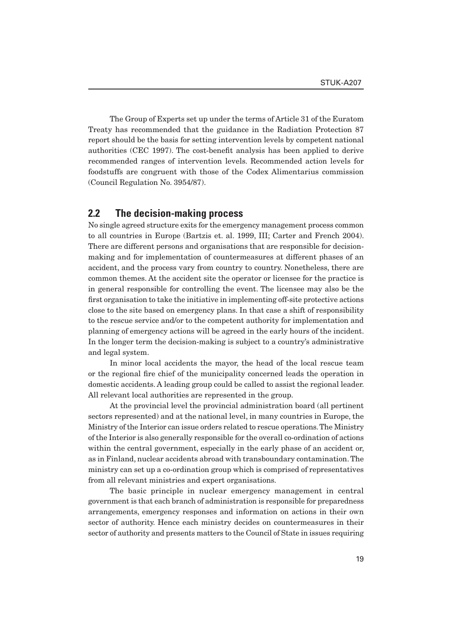The Group of Experts set up under the terms of Article 31 of the Euratom Treaty has recommended that the guidance in the Radiation Protection 87 report should be the basis for setting intervention levels by competent national authorities (CEC 1997). The cost-benefi t analysis has been applied to derive recommended ranges of intervention levels. Recommended action levels for foodstuffs are congruent with those of the Codex Alimentarius commission (Council Regulation No. 3954/87).

### **2.2 The decision-making process**

No single agreed structure exits for the emergency management process common to all countries in Europe (Bartzis et. al. 1999, III; Carter and French 2004). There are different persons and organisations that are responsible for decisionmaking and for implementation of countermeasures at different phases of an accident, and the process vary from country to country. Nonetheless, there are common themes. At the accident site the operator or licensee for the practice is in general responsible for controlling the event. The licensee may also be the first organisation to take the initiative in implementing off-site protective actions close to the site based on emergency plans. In that case a shift of responsibility to the rescue service and/or to the competent authority for implementation and planning of emergency actions will be agreed in the early hours of the incident. In the longer term the decision-making is subject to a country's administrative and legal system.

In minor local accidents the mayor, the head of the local rescue team or the regional fire chief of the municipality concerned leads the operation in domestic accidents. A leading group could be called to assist the regional leader. All relevant local authorities are represented in the group.

At the provincial level the provincial administration board (all pertinent sectors represented) and at the national level, in many countries in Europe, the Ministry of the Interior can issue orders related to rescue operations. The Ministry of the Interior is also generally responsible for the overall co-ordination of actions within the central government, especially in the early phase of an accident or, as in Finland, nuclear accidents abroad with transboundary contamination. The ministry can set up a co-ordination group which is comprised of representatives from all relevant ministries and expert organisations.

The basic principle in nuclear emergency management in central government is that each branch of administration is responsible for preparedness arrangements, emergency responses and information on actions in their own sector of authority. Hence each ministry decides on countermeasures in their sector of authority and presents matters to the Council of State in issues requiring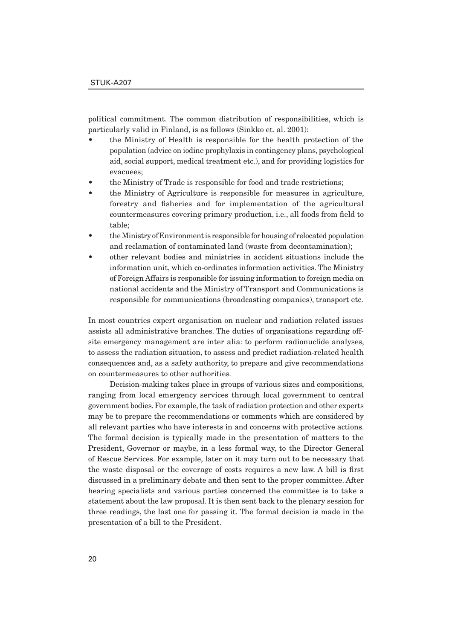political commitment. The common distribution of responsibilities, which is particularly valid in Finland, is as follows (Sinkko et. al. 2001):

- the Ministry of Health is responsible for the health protection of the population (advice on iodine prophylaxis in contingency plans, psychological aid, social support, medical treatment etc.), and for providing logistics for evacuees;
- the Ministry of Trade is responsible for food and trade restrictions;
- the Ministry of Agriculture is responsible for measures in agriculture, forestry and fisheries and for implementation of the agricultural countermeasures covering primary production, i.e., all foods from field to table;
- the Ministry of Environment is responsible for housing of relocated population and reclamation of contaminated land (waste from decontamination);
- other relevant bodies and ministries in accident situations include the information unit, which co-ordinates information activities. The Ministry of Foreign Affairs is responsible for issuing information to foreign media on national accidents and the Ministry of Transport and Communications is responsible for communications (broadcasting companies), transport etc.

In most countries expert organisation on nuclear and radiation related issues assists all administrative branches. The duties of organisations regarding offsite emergency management are inter alia: to perform radionuclide analyses, to assess the radiation situation, to assess and predict radiation-related health consequences and, as a safety authority, to prepare and give recommendations on countermeasures to other authorities.

Decision-making takes place in groups of various sizes and compositions, ranging from local emergency services through local government to central government bodies. For example, the task of radiation protection and other experts may be to prepare the recommendations or comments which are considered by all relevant parties who have interests in and concerns with protective actions. The formal decision is typically made in the presentation of matters to the President, Governor or maybe, in a less formal way, to the Director General of Rescue Services. For example, later on it may turn out to be necessary that the waste disposal or the coverage of costs requires a new law. A bill is first discussed in a preliminary debate and then sent to the proper committee. After hearing specialists and various parties concerned the committee is to take a statement about the law proposal. It is then sent back to the plenary session for three readings, the last one for passing it. The formal decision is made in the presentation of a bill to the President.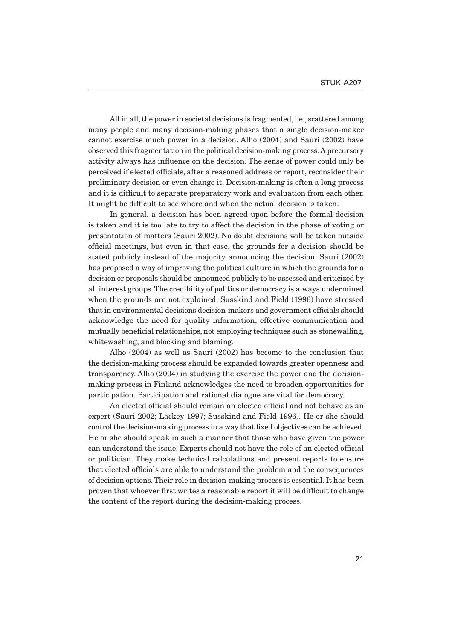All in all, the power in societal decisions is fragmented, i.e., scattered among many people and many decision-making phases that a single decision-maker cannot exercise much power in a decision. Alho (2004) and Sauri (2002) have observed this fragmentation in the political decision-making process. A precursory activity always has influence on the decision. The sense of power could only be perceived if elected officials, after a reasoned address or report, reconsider their preliminary decision or even change it. Decision-making is often a long process and it is difficult to separate preparatory work and evaluation from each other. It might be difficult to see where and when the actual decision is taken.

In general, a decision has been agreed upon before the formal decision is taken and it is too late to try to affect the decision in the phase of voting or presentation of matters (Sauri 2002). No doubt decisions will be taken outside official meetings, but even in that case, the grounds for a decision should be stated publicly instead of the majority announcing the decision. Sauri (2002) has proposed a way of improving the political culture in which the grounds for a decision or proposals should be announced publicly to be assessed and criticized by all interest groups. The credibility of politics or democracy is always undermined when the grounds are not explained. Susskind and Field (1996) have stressed that in environmental decisions decision-makers and government officials should acknowledge the need for quality information, effective communication and mutually beneficial relationships, not employing techniques such as stonewalling, whitewashing, and blocking and blaming.

Alho (2004) as well as Sauri (2002) has become to the conclusion that the decision-making process should be expanded towards greater openness and transparency. Alho (2004) in studying the exercise the power and the decisionmaking process in Finland acknowledges the need to broaden opportunities for participation. Participation and rational dialogue are vital for democracy.

An elected official should remain an elected official and not behave as an expert (Sauri 2002; Lackey 1997; Susskind and Field 1996). He or she should control the decision-making process in a way that fixed objectives can be achieved. He or she should speak in such a manner that those who have given the power can understand the issue. Experts should not have the role of an elected official or politician. They make technical calculations and present reports to ensure that elected officials are able to understand the problem and the consequences of decision options. Their role in decision-making process is essential. It has been proven that whoever first writes a reasonable report it will be difficult to change the content of the report during the decision-making process.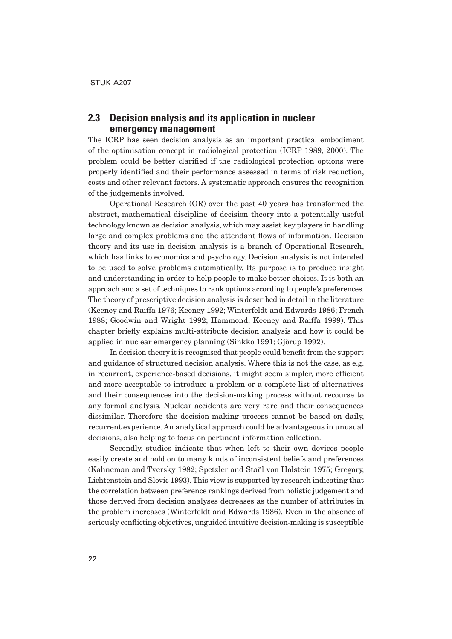### **2.3 Decision analysis and its application in nuclear emergency management**

The ICRP has seen decision analysis as an important practical embodiment of the optimisation concept in radiological protection (ICRP 1989, 2000). The problem could be better clarified if the radiological protection options were properly identified and their performance assessed in terms of risk reduction, costs and other relevant factors. A systematic approach ensures the recognition of the judgements involved.

Operational Research (OR) over the past 40 years has transformed the abstract, mathematical discipline of decision theory into a potentially useful technology known as decision analysis, which may assist key players in handling large and complex problems and the attendant flows of information. Decision theory and its use in decision analysis is a branch of Operational Research, which has links to economics and psychology. Decision analysis is not intended to be used to solve problems automatically. Its purpose is to produce insight and understanding in order to help people to make better choices. It is both an approach and a set of techniques to rank options according to people's preferences. The theory of prescriptive decision analysis is described in detail in the literature (Keeney and Raiffa 1976; Keeney 1992; Winterfeldt and Edwards 1986; French 1988; Goodwin and Wright 1992; Hammond, Keeney and Raiffa 1999). This chapter briefly explains multi-attribute decision analysis and how it could be applied in nuclear emergency planning (Sinkko 1991; Gjörup 1992).

In decision theory it is recognised that people could benefit from the support and guidance of structured decision analysis. Where this is not the case, as e.g. in recurrent, experience-based decisions, it might seem simpler, more efficient and more acceptable to introduce a problem or a complete list of alternatives and their consequences into the decision-making process without recourse to any formal analysis. Nuclear accidents are very rare and their consequences dissimilar. Therefore the decision-making process cannot be based on daily, recurrent experience. An analytical approach could be advantageous in unusual decisions, also helping to focus on pertinent information collection.

Secondly, studies indicate that when left to their own devices people easily create and hold on to many kinds of inconsistent beliefs and preferences (Kahneman and Tversky 1982; Spetzler and Staël von Holstein 1975; Gregory, Lichtenstein and Slovic 1993). This view is supported by research indicating that the correlation between preference rankings derived from holistic judgement and those derived from decision analyses decreases as the number of attributes in the problem increases (Winterfeldt and Edwards 1986). Even in the absence of seriously conflicting objectives, unguided intuitive decision-making is susceptible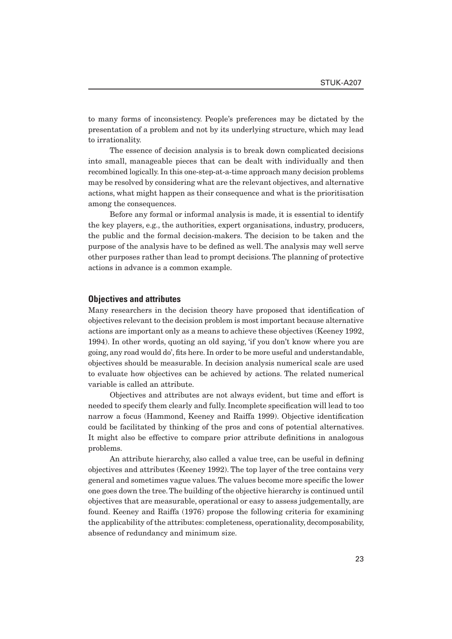to many forms of inconsistency. People's preferences may be dictated by the presentation of a problem and not by its underlying structure, which may lead to irrationality.

The essence of decision analysis is to break down complicated decisions into small, manageable pieces that can be dealt with individually and then recombined logically. In this one-step-at-a-time approach many decision problems may be resolved by considering what are the relevant objectives, and alternative actions, what might happen as their consequence and what is the prioritisation among the consequences.

Before any formal or informal analysis is made, it is essential to identify the key players, e.g., the authorities, expert organisations, industry, producers, the public and the formal decision-makers. The decision to be taken and the purpose of the analysis have to be defined as well. The analysis may well serve other purposes rather than lead to prompt decisions. The planning of protective actions in advance is a common example.

#### **Objectives and attributes**

Many researchers in the decision theory have proposed that identification of objectives relevant to the decision problem is most important because alternative actions are important only as a means to achieve these objectives (Keeney 1992, 1994). In other words, quoting an old saying, 'if you don't know where you are going, any road would do', fits here. In order to be more useful and understandable, objectives should be measurable. In decision analysis numerical scale are used to evaluate how objectives can be achieved by actions. The related numerical variable is called an attribute.

Objectives and attributes are not always evident, but time and effort is needed to specify them clearly and fully. Incomplete specification will lead to too narrow a focus (Hammond, Keeney and Raiffa 1999). Objective identification could be facilitated by thinking of the pros and cons of potential alternatives. It might also be effective to compare prior attribute definitions in analogous problems.

An attribute hierarchy, also called a value tree, can be useful in defining objectives and attributes (Keeney 1992). The top layer of the tree contains very general and sometimes vague values. The values become more specific the lower one goes down the tree. The building of the objective hierarchy is continued until objectives that are measurable, operational or easy to assess judgementally, are found. Keeney and Raiffa (1976) propose the following criteria for examining the applicability of the attributes: completeness, operationality, decomposability, absence of redundancy and minimum size.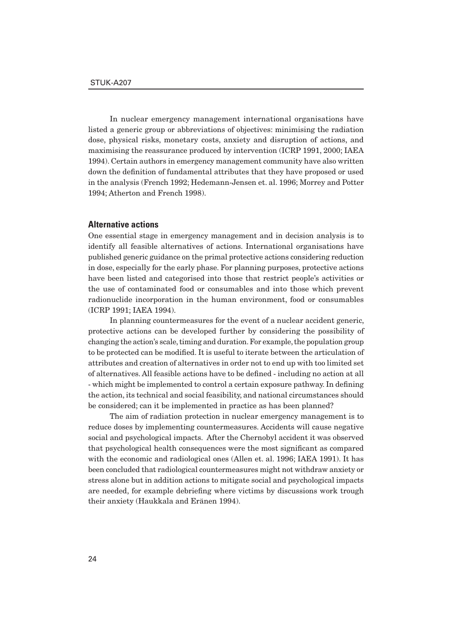In nuclear emergency management international organisations have listed a generic group or abbreviations of objectives: minimising the radiation dose, physical risks, monetary costs, anxiety and disruption of actions, and maximising the reassurance produced by intervention (ICRP 1991, 2000; IAEA 1994). Certain authors in emergency management community have also written down the definition of fundamental attributes that they have proposed or used in the analysis (French 1992; Hedemann-Jensen et. al. 1996; Morrey and Potter 1994; Atherton and French 1998).

#### **Alternative actions**

One essential stage in emergency management and in decision analysis is to identify all feasible alternatives of actions. International organisations have published generic guidance on the primal protective actions considering reduction in dose, especially for the early phase. For planning purposes, protective actions have been listed and categorised into those that restrict people's activities or the use of contaminated food or consumables and into those which prevent radionuclide incorporation in the human environment, food or consumables (ICRP 1991; IAEA 1994).

In planning countermeasures for the event of a nuclear accident generic, protective actions can be developed further by considering the possibility of changing the action's scale, timing and duration. For example, the population group to be protected can be modified. It is useful to iterate between the articulation of attributes and creation of alternatives in order not to end up with too limited set of alternatives. All feasible actions have to be defined - including no action at all - which might be implemented to control a certain exposure pathway. In defining the action, its technical and social feasibility, and national circumstances should be considered; can it be implemented in practice as has been planned?

The aim of radiation protection in nuclear emergency management is to reduce doses by implementing countermeasures. Accidents will cause negative social and psychological impacts. After the Chernobyl accident it was observed that psychological health consequences were the most significant as compared with the economic and radiological ones (Allen et. al. 1996; IAEA 1991). It has been concluded that radiological countermeasures might not withdraw anxiety or stress alone but in addition actions to mitigate social and psychological impacts are needed, for example debriefing where victims by discussions work trough their anxiety (Haukkala and Eränen 1994).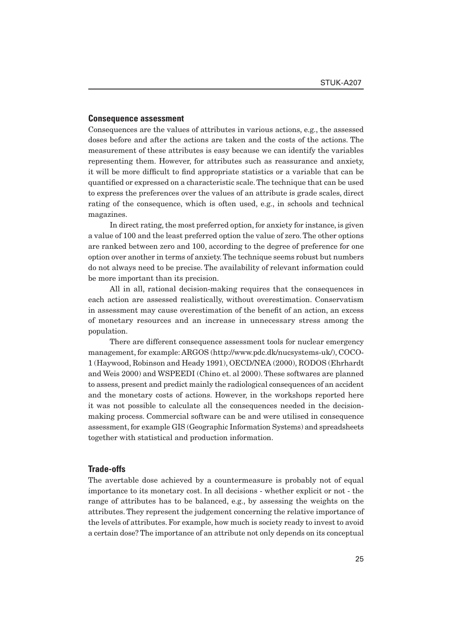#### **Consequence assessment**

Consequences are the values of attributes in various actions, e.g., the assessed doses before and after the actions are taken and the costs of the actions. The measurement of these attributes is easy because we can identify the variables representing them. However, for attributes such as reassurance and anxiety, it will be more difficult to find appropriate statistics or a variable that can be quantified or expressed on a characteristic scale. The technique that can be used to express the preferences over the values of an attribute is grade scales, direct rating of the consequence, which is often used, e.g., in schools and technical magazines.

In direct rating, the most preferred option, for anxiety for instance, is given a value of 100 and the least preferred option the value of zero. The other options are ranked between zero and 100, according to the degree of preference for one option over another in terms of anxiety. The technique seems robust but numbers do not always need to be precise. The availability of relevant information could be more important than its precision.

All in all, rational decision-making requires that the consequences in each action are assessed realistically, without overestimation. Conservatism in assessment may cause overestimation of the benefit of an action, an excess of monetary resources and an increase in unnecessary stress among the population.

There are different consequence assessment tools for nuclear emergency management, for example: ARGOS (http://www.pdc.dk/nucsystems-uk/), COCO-1 (Haywood, Robinson and Heady 1991), OECD/NEA (2000), RODOS (Ehrhardt and Weis 2000) and WSPEEDI (Chino et. al 2000). These softwares are planned to assess, present and predict mainly the radiological consequences of an accident and the monetary costs of actions. However, in the workshops reported here it was not possible to calculate all the consequences needed in the decisionmaking process. Commercial software can be and were utilised in consequence assessment, for example GIS (Geographic Information Systems) and spreadsheets together with statistical and production information.

#### **Trade-offs**

The avertable dose achieved by a countermeasure is probably not of equal importance to its monetary cost. In all decisions - whether explicit or not - the range of attributes has to be balanced, e.g., by assessing the weights on the attributes. They represent the judgement concerning the relative importance of the levels of attributes. For example, how much is society ready to invest to avoid a certain dose? The importance of an attribute not only depends on its conceptual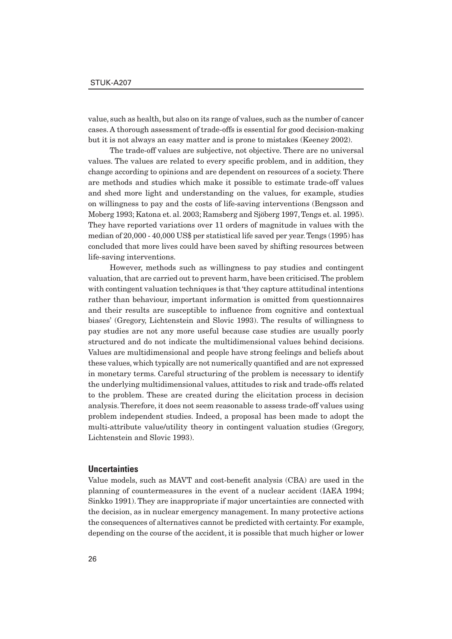value, such as health, but also on its range of values, such as the number of cancer cases. A thorough assessment of trade-offs is essential for good decision-making but it is not always an easy matter and is prone to mistakes (Keeney 2002).

The trade-off values are subjective, not objective. There are no universal values. The values are related to every specific problem, and in addition, they change according to opinions and are dependent on resources of a society. There are methods and studies which make it possible to estimate trade-off values and shed more light and understanding on the values, for example, studies on willingness to pay and the costs of life-saving interventions (Bengsson and Moberg 1993; Katona et. al. 2003; Ramsberg and Sjöberg 1997, Tengs et. al. 1995). They have reported variations over 11 orders of magnitude in values with the median of 20,000 - 40,000 US\$ per statistical life saved per year. Tengs (1995) has concluded that more lives could have been saved by shifting resources between life-saving interventions.

However, methods such as willingness to pay studies and contingent valuation, that are carried out to prevent harm, have been criticised. The problem with contingent valuation techniques is that 'they capture attitudinal intentions rather than behaviour, important information is omitted from questionnaires and their results are susceptible to influence from cognitive and contextual biases' (Gregory, Lichtenstein and Slovic 1993). The results of willingness to pay studies are not any more useful because case studies are usually poorly structured and do not indicate the multidimensional values behind decisions. Values are multidimensional and people have strong feelings and beliefs about these values, which typically are not numerically quantified and are not expressed in monetary terms. Careful structuring of the problem is necessary to identify the underlying multidimensional values, attitudes to risk and trade-offs related to the problem. These are created during the elicitation process in decision analysis. Therefore, it does not seem reasonable to assess trade-off values using problem independent studies. Indeed, a proposal has been made to adopt the multi-attribute value/utility theory in contingent valuation studies (Gregory, Lichtenstein and Slovic 1993).

### **Uncertainties**

Value models, such as MAVT and cost-benefit analysis (CBA) are used in the planning of countermeasures in the event of a nuclear accident (IAEA 1994; Sinkko 1991). They are inappropriate if major uncertainties are connected with the decision, as in nuclear emergency management. In many protective actions the consequences of alternatives cannot be predicted with certainty. For example, depending on the course of the accident, it is possible that much higher or lower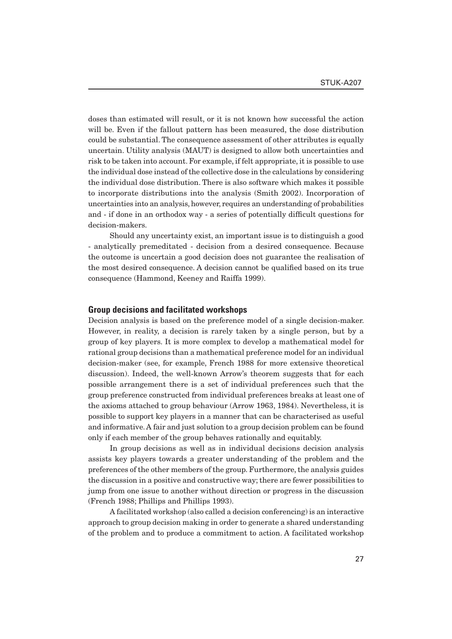doses than estimated will result, or it is not known how successful the action will be. Even if the fallout pattern has been measured, the dose distribution could be substantial. The consequence assessment of other attributes is equally uncertain. Utility analysis (MAUT) is designed to allow both uncertainties and risk to be taken into account. For example, if felt appropriate, it is possible to use the individual dose instead of the collective dose in the calculations by considering the individual dose distribution. There is also software which makes it possible to incorporate distributions into the analysis (Smith 2002). Incorporation of uncertainties into an analysis, however, requires an understanding of probabilities and - if done in an orthodox way - a series of potentially difficult questions for decision-makers.

Should any uncertainty exist, an important issue is to distinguish a good - analytically premeditated - decision from a desired consequence. Because the outcome is uncertain a good decision does not guarantee the realisation of the most desired consequence. A decision cannot be qualified based on its true consequence (Hammond, Keeney and Raiffa 1999).

#### **Group decisions and facilitated workshops**

Decision analysis is based on the preference model of a single decision-maker. However, in reality, a decision is rarely taken by a single person, but by a group of key players. It is more complex to develop a mathematical model for rational group decisions than a mathematical preference model for an individual decision-maker (see, for example, French 1988 for more extensive theoretical discussion). Indeed, the well-known Arrow's theorem suggests that for each possible arrangement there is a set of individual preferences such that the group preference constructed from individual preferences breaks at least one of the axioms attached to group behaviour (Arrow 1963, 1984). Nevertheless, it is possible to support key players in a manner that can be characterised as useful and informative. A fair and just solution to a group decision problem can be found only if each member of the group behaves rationally and equitably.

In group decisions as well as in individual decisions decision analysis assists key players towards a greater understanding of the problem and the preferences of the other members of the group. Furthermore, the analysis guides the discussion in a positive and constructive way; there are fewer possibilities to jump from one issue to another without direction or progress in the discussion (French 1988; Phillips and Phillips 1993).

A facilitated workshop (also called a decision conferencing) is an interactive approach to group decision making in order to generate a shared understanding of the problem and to produce a commitment to action. A facilitated workshop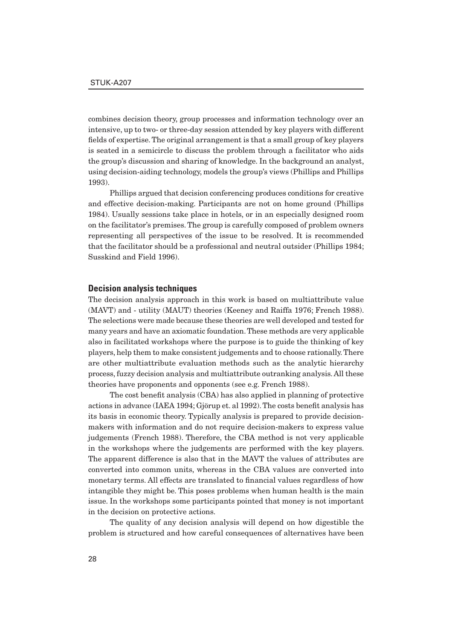combines decision theory, group processes and information technology over an intensive, up to two- or three-day session attended by key players with different fields of expertise. The original arrangement is that a small group of key players is seated in a semicircle to discuss the problem through a facilitator who aids the group's discussion and sharing of knowledge. In the background an analyst, using decision-aiding technology, models the group's views (Phillips and Phillips 1993).

Phillips argued that decision conferencing produces conditions for creative and effective decision-making. Participants are not on home ground (Phillips 1984). Usually sessions take place in hotels, or in an especially designed room on the facilitator's premises. The group is carefully composed of problem owners representing all perspectives of the issue to be resolved. It is recommended that the facilitator should be a professional and neutral outsider (Phillips 1984; Susskind and Field 1996).

#### **Decision analysis techniques**

The decision analysis approach in this work is based on multiattribute value (MAVT) and - utility (MAUT) theories (Keeney and Raiffa 1976; French 1988). The selections were made because these theories are well developed and tested for many years and have an axiomatic foundation. These methods are very applicable also in facilitated workshops where the purpose is to guide the thinking of key players, help them to make consistent judgements and to choose rationally. There are other multiattribute evaluation methods such as the analytic hierarchy process, fuzzy decision analysis and multiattribute outranking analysis. All these theories have proponents and opponents (see e.g. French 1988).

The cost benefit analysis (CBA) has also applied in planning of protective actions in advance (IAEA 1994; Gjörup et. al 1992). The costs benefit analysis has its basis in economic theory. Typically analysis is prepared to provide decisionmakers with information and do not require decision-makers to express value judgements (French 1988). Therefore, the CBA method is not very applicable in the workshops where the judgements are performed with the key players. The apparent difference is also that in the MAVT the values of attributes are converted into common units, whereas in the CBA values are converted into monetary terms. All effects are translated to financial values regardless of how intangible they might be. This poses problems when human health is the main issue. In the workshops some participants pointed that money is not important in the decision on protective actions.

The quality of any decision analysis will depend on how digestible the problem is structured and how careful consequences of alternatives have been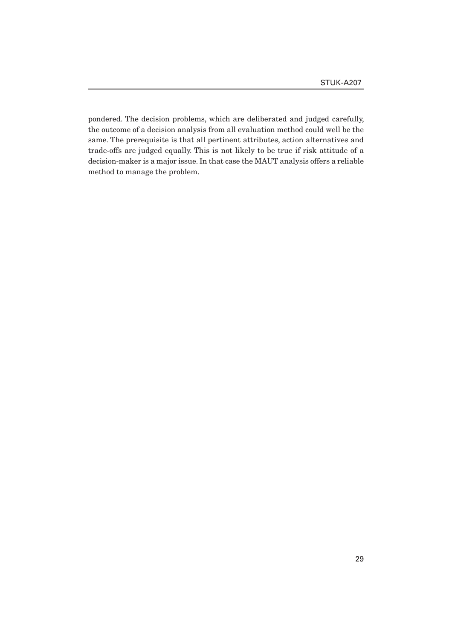pondered. The decision problems, which are deliberated and judged carefully, the outcome of a decision analysis from all evaluation method could well be the same. The prerequisite is that all pertinent attributes, action alternatives and trade-offs are judged equally. This is not likely to be true if risk attitude of a decision-maker is a major issue. In that case the MAUT analysis offers a reliable method to manage the problem.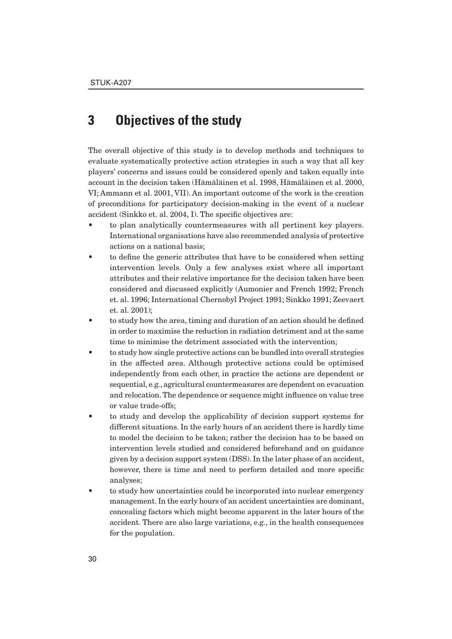## **3 Objectives of the study**

The overall objective of this study is to develop methods and techniques to evaluate systematically protective action strategies in such a way that all key players' concerns and issues could be considered openly and taken equally into account in the decision taken (Hämäläinen et al. 1998, Hämäläinen et al. 2000, VI; Ammann et al. 2001, VII). An important outcome of the work is the creation of preconditions for participatory decision-making in the event of a nuclear accident (Sinkko et. al. 2004, I). The specific objectives are:

- to plan analytically countermeasures with all pertinent key players. International organisations have also recommended analysis of protective actions on a national basis;
- to define the generic attributes that have to be considered when setting intervention levels. Only a few analyses exist where all important attributes and their relative importance for the decision taken have been considered and discussed explicitly (Aumonier and French 1992; French et. al. 1996; International Chernobyl Project 1991; Sinkko 1991; Zeevaert et. al. 2001);
- to study how the area, timing and duration of an action should be defined in order to maximise the reduction in radiation detriment and at the same time to minimise the detriment associated with the intervention;
- to study how single protective actions can be bundled into overall strategies in the affected area. Although protective actions could be optimised independently from each other, in practice the actions are dependent or sequential, e.g., agricultural countermeasures are dependent on evacuation and relocation. The dependence or sequence might influence on value tree or value trade-offs;
- to study and develop the applicability of decision support systems for different situations. In the early hours of an accident there is hardly time to model the decision to be taken; rather the decision has to be based on intervention levels studied and considered beforehand and on guidance given by a decision support system (DSS). In the later phase of an accident, however, there is time and need to perform detailed and more specific analyses;
- to study how uncertainties could be incorporated into nuclear emergency management. In the early hours of an accident uncertainties are dominant, concealing factors which might become apparent in the later hours of the accident. There are also large variations, e.g., in the health consequences for the population.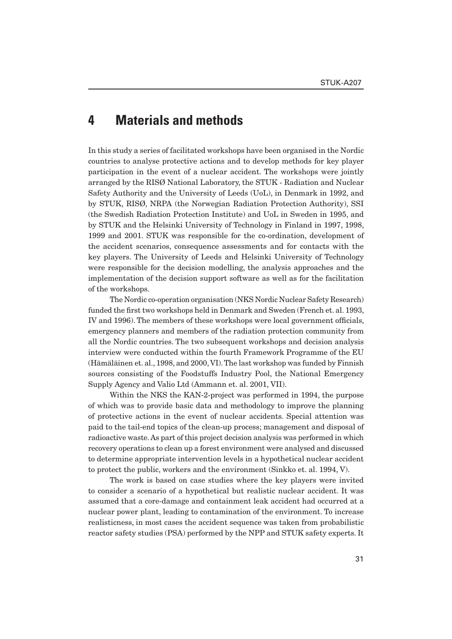## **4 Materials and methods**

In this study a series of facilitated workshops have been organised in the Nordic countries to analyse protective actions and to develop methods for key player participation in the event of a nuclear accident. The workshops were jointly arranged by the RISØ National Laboratory, the STUK - Radiation and Nuclear Safety Authority and the University of Leeds (UoL), in Denmark in 1992, and by STUK, RISØ, NRPA (the Norwegian Radiation Protection Authority), SSI (the Swedish Radiation Protection Institute) and UoL in Sweden in 1995, and by STUK and the Helsinki University of Technology in Finland in 1997, 1998, 1999 and 2001. STUK was responsible for the co-ordination, development of the accident scenarios, consequence assessments and for contacts with the key players. The University of Leeds and Helsinki University of Technology were responsible for the decision modelling, the analysis approaches and the implementation of the decision support software as well as for the facilitation of the workshops.

The Nordic co-operation organisation (NKS Nordic Nuclear Safety Research) funded the first two workshops held in Denmark and Sweden (French et. al. 1993, IV and 1996). The members of these workshops were local government officials, emergency planners and members of the radiation protection community from all the Nordic countries. The two subsequent workshops and decision analysis interview were conducted within the fourth Framework Programme of the EU (Hämäläinen et. al., 1998, and 2000, VI). The last workshop was funded by Finnish sources consisting of the Foodstuffs Industry Pool, the National Emergency Supply Agency and Valio Ltd (Ammann et. al. 2001, VII).

Within the NKS the KAN-2-project was performed in 1994, the purpose of which was to provide basic data and methodology to improve the planning of protective actions in the event of nuclear accidents. Special attention was paid to the tail-end topics of the clean-up process; management and disposal of radioactive waste. As part of this project decision analysis was performed in which recovery operations to clean up a forest environment were analysed and discussed to determine appropriate intervention levels in a hypothetical nuclear accident to protect the public, workers and the environment (Sinkko et. al. 1994, V).

The work is based on case studies where the key players were invited to consider a scenario of a hypothetical but realistic nuclear accident. It was assumed that a core-damage and containment leak accident had occurred at a nuclear power plant, leading to contamination of the environment. To increase realisticness, in most cases the accident sequence was taken from probabilistic reactor safety studies (PSA) performed by the NPP and STUK safety experts. It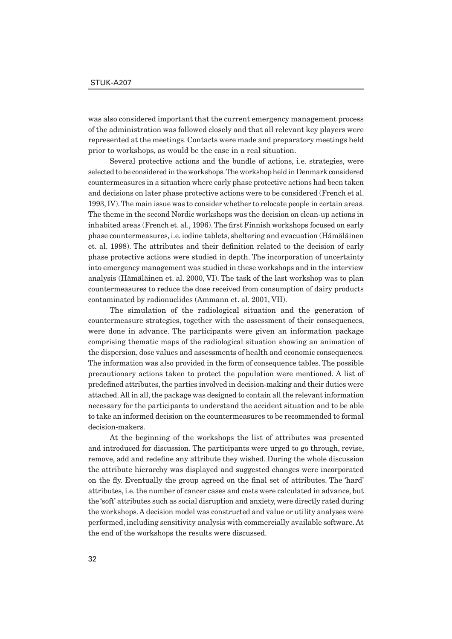was also considered important that the current emergency management process of the administration was followed closely and that all relevant key players were represented at the meetings. Contacts were made and preparatory meetings held prior to workshops, as would be the case in a real situation.

Several protective actions and the bundle of actions, i.e. strategies, were selected to be considered in the workshops. The workshop held in Denmark considered countermeasures in a situation where early phase protective actions had been taken and decisions on later phase protective actions were to be considered (French et al. 1993, IV). The main issue was to consider whether to relocate people in certain areas. The theme in the second Nordic workshops was the decision on clean-up actions in inhabited areas (French et. al., 1996). The first Finnish workshops focused on early phase countermeasures, i.e. iodine tablets, sheltering and evacuation (Hämäläinen et. al. 1998). The attributes and their definition related to the decision of early phase protective actions were studied in depth. The incorporation of uncertainty into emergency management was studied in these workshops and in the interview analysis (Hämäläinen et. al. 2000, VI). The task of the last workshop was to plan countermeasures to reduce the dose received from consumption of dairy products contaminated by radionuclides (Ammann et. al. 2001, VII).

The simulation of the radiological situation and the generation of countermeasure strategies, together with the assessment of their consequences, were done in advance. The participants were given an information package comprising thematic maps of the radiological situation showing an animation of the dispersion, dose values and assessments of health and economic consequences. The information was also provided in the form of consequence tables. The possible precautionary actions taken to protect the population were mentioned. A list of predefined attributes, the parties involved in decision-making and their duties were attached. All in all, the package was designed to contain all the relevant information necessary for the participants to understand the accident situation and to be able to take an informed decision on the countermeasures to be recommended to formal decision-makers.

At the beginning of the workshops the list of attributes was presented and introduced for discussion. The participants were urged to go through, revise, remove, add and redefine any attribute they wished. During the whole discussion the attribute hierarchy was displayed and suggested changes were incorporated on the fly. Eventually the group agreed on the final set of attributes. The 'hard' attributes, i.e. the number of cancer cases and costs were calculated in advance, but the 'soft' attributes such as social disruption and anxiety, were directly rated during the workshops. A decision model was constructed and value or utility analyses were performed, including sensitivity analysis with commercially available software. At the end of the workshops the results were discussed.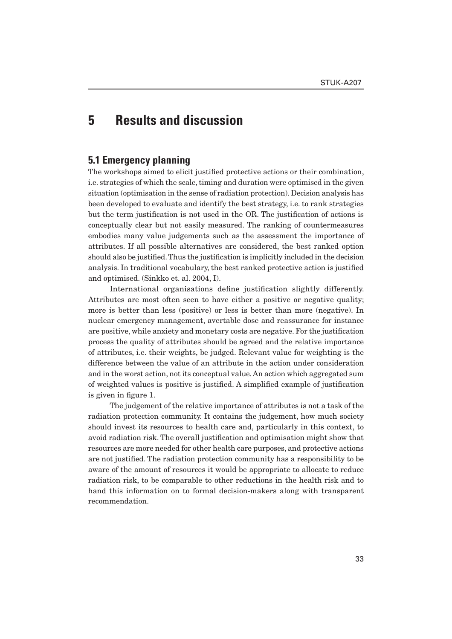# **5 Results and discussion**

### **5.1 Emergency planning**

The workshops aimed to elicit justified protective actions or their combination, i.e. strategies of which the scale, timing and duration were optimised in the given situation (optimisation in the sense of radiation protection). Decision analysis has been developed to evaluate and identify the best strategy, i.e. to rank strategies but the term justification is not used in the OR. The justification of actions is conceptually clear but not easily measured. The ranking of countermeasures embodies many value judgements such as the assessment the importance of attributes. If all possible alternatives are considered, the best ranked option should also be justified. Thus the justification is implicitly included in the decision analysis. In traditional vocabulary, the best ranked protective action is justified and optimised. (Sinkko et. al. 2004, I).

International organisations define justification slightly differently. Attributes are most often seen to have either a positive or negative quality; more is better than less (positive) or less is better than more (negative). In nuclear emergency management, avertable dose and reassurance for instance are positive, while anxiety and monetary costs are negative. For the justification process the quality of attributes should be agreed and the relative importance of attributes, i.e. their weights, be judged. Relevant value for weighting is the difference between the value of an attribute in the action under consideration and in the worst action, not its conceptual value. An action which aggregated sum of weighted values is positive is justified. A simplified example of justification is given in figure 1.

The judgement of the relative importance of attributes is not a task of the radiation protection community. It contains the judgement, how much society should invest its resources to health care and, particularly in this context, to avoid radiation risk. The overall justification and optimisation might show that resources are more needed for other health care purposes, and protective actions are not justified. The radiation protection community has a responsibility to be aware of the amount of resources it would be appropriate to allocate to reduce radiation risk, to be comparable to other reductions in the health risk and to hand this information on to formal decision-makers along with transparent recommendation.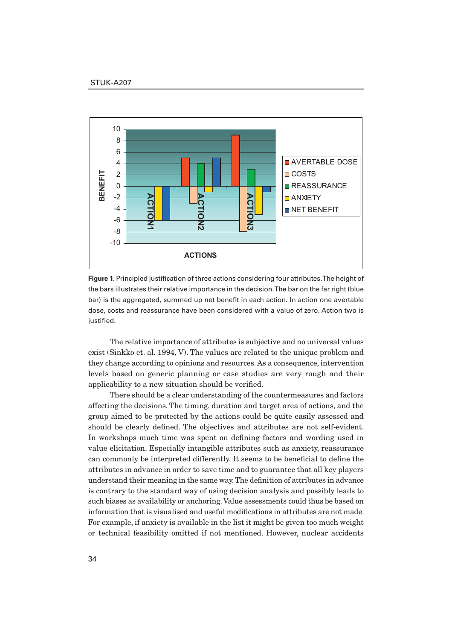

**Figure 1.** Principled justification of three actions considering four attributes. The height of the bars illustrates their relative importance in the decision. The bar on the far right (blue bar) is the aggregated, summed up net benefit in each action. In action one avertable dose, costs and reassurance have been considered with a value of zero. Action two is justified.

The relative importance of attributes is subjective and no universal values exist (Sinkko et. al. 1994, V). The values are related to the unique problem and they change according to opinions and resources. As a consequence, intervention levels based on generic planning or case studies are very rough and their applicability to a new situation should be verified.

There should be a clear understanding of the countermeasures and factors affecting the decisions. The timing, duration and target area of actions, and the group aimed to be protected by the actions could be quite easily assessed and should be clearly defined. The objectives and attributes are not self-evident. In workshops much time was spent on defining factors and wording used in value elicitation. Especially intangible attributes such as anxiety, reassurance can commonly be interpreted differently. It seems to be beneficial to define the attributes in advance in order to save time and to guarantee that all key players understand their meaning in the same way. The definition of attributes in advance is contrary to the standard way of using decision analysis and possibly leads to such biases as availability or anchoring. Value assessments could thus be based on information that is visualised and useful modifications in attributes are not made. For example, if anxiety is available in the list it might be given too much weight or technical feasibility omitted if not mentioned. However, nuclear accidents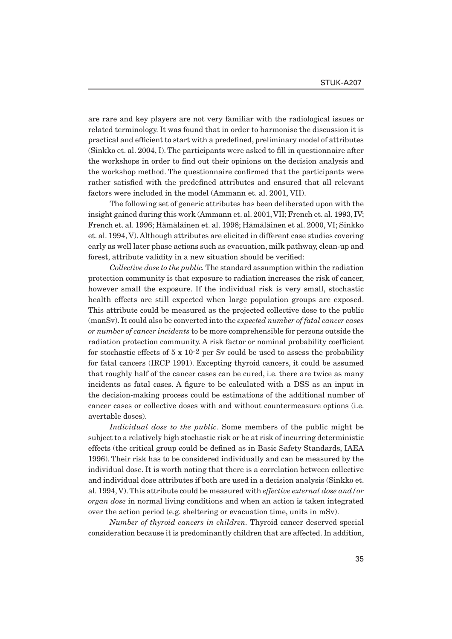are rare and key players are not very familiar with the radiological issues or related terminology. It was found that in order to harmonise the discussion it is practical and efficient to start with a predefined, preliminary model of attributes  $(Sinkko et al. 2004, I).$  The participants were asked to fill in questionnaire after the workshops in order to find out their opinions on the decision analysis and the workshop method. The questionnaire confirmed that the participants were rather satisfied with the predefined attributes and ensured that all relevant factors were included in the model (Ammann et. al. 2001, VII).

The following set of generic attributes has been deliberated upon with the insight gained during this work (Ammann et. al. 2001, VII; French et. al. 1993, IV; French et. al. 1996; Hämäläinen et. al. 1998; Hämäläinen et al. 2000, VI; Sinkko et. al. 1994, V). Although attributes are elicited in different case studies covering early as well later phase actions such as evacuation, milk pathway, clean-up and forest, attribute validity in a new situation should be verified:

*Collective dose to the public.* The standard assumption within the radiation protection community is that exposure to radiation increases the risk of cancer, however small the exposure. If the individual risk is very small, stochastic health effects are still expected when large population groups are exposed. This attribute could be measured as the projected collective dose to the public (manSv). It could also be converted into the *expected number of fatal cancer cases or number of cancer incidents* to be more comprehensible for persons outside the radiation protection community. A risk factor or nominal probability coefficient for stochastic effects of  $5 \times 10^{-2}$  per Sv could be used to assess the probability for fatal cancers (IRCP 1991). Excepting thyroid cancers, it could be assumed that roughly half of the cancer cases can be cured, i.e. there are twice as many incidents as fatal cases. A figure to be calculated with a DSS as an input in the decision-making process could be estimations of the additional number of cancer cases or collective doses with and without countermeasure options (i.e. avertable doses).

*Individual dose to the public*. Some members of the public might be subject to a relatively high stochastic risk or be at risk of incurring deterministic effects (the critical group could be defined as in Basic Safety Standards, IAEA 1996). Their risk has to be considered individually and can be measured by the individual dose. It is worth noting that there is a correlation between collective and individual dose attributes if both are used in a decision analysis (Sinkko et. al. 1994, V). This attribute could be measured with *effective external dose and/or organ dose* in normal living conditions and when an action is taken integrated over the action period (e.g. sheltering or evacuation time, units in mSv).

*Number of thyroid cancers in children.* Thyroid cancer deserved special consideration because it is predominantly children that are affected. In addition,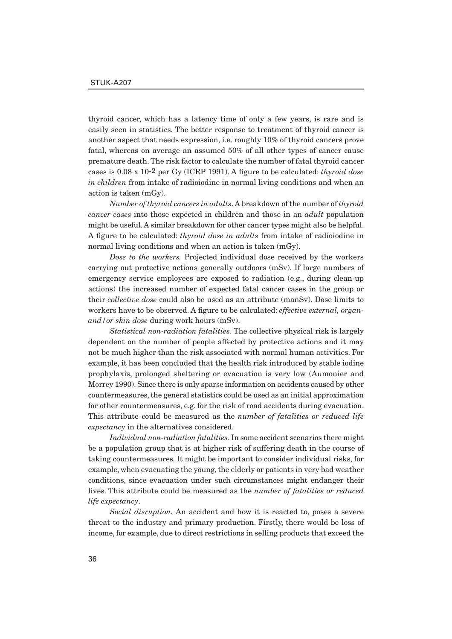thyroid cancer, which has a latency time of only a few years, is rare and is easily seen in statistics. The better response to treatment of thyroid cancer is another aspect that needs expression, i.e. roughly 10% of thyroid cancers prove fatal, whereas on average an assumed 50% of all other types of cancer cause premature death. The risk factor to calculate the number of fatal thyroid cancer cases is  $0.08 \times 10^{-2}$  per Gy (ICRP 1991). A figure to be calculated: *thyroid dose in children* from intake of radioiodine in normal living conditions and when an action is taken (mGy).

*Number of thyroid cancers in adults*. A breakdown of the number of *thyroid cancer cases* into those expected in children and those in an *adult* population might be useful. A similar breakdown for other cancer types might also be helpful. A figure to be calculated: *thyroid dose in adults* from intake of radioiodine in normal living conditions and when an action is taken (mGy).

*Dose to the workers.* Projected individual dose received by the workers carrying out protective actions generally outdoors (mSv). If large numbers of emergency service employees are exposed to radiation (e.g., during clean-up actions) the increased number of expected fatal cancer cases in the group or their *collective dose* could also be used as an attribute (manSv). Dose limits to workers have to be observed. A figure to be calculated: *effective external*, *organand/or skin dose* during work hours (mSv).

*Statistical non-radiation fatalities*. The collective physical risk is largely dependent on the number of people affected by protective actions and it may not be much higher than the risk associated with normal human activities. For example, it has been concluded that the health risk introduced by stable iodine prophylaxis, prolonged sheltering or evacuation is very low (Aumonier and Morrey 1990). Since there is only sparse information on accidents caused by other countermeasures, the general statistics could be used as an initial approximation for other countermeasures, e.g. for the risk of road accidents during evacuation. This attribute could be measured as the *number of fatalities or reduced life expectancy* in the alternatives considered.

*Individual non-radiation fatalities*. In some accident scenarios there might be a population group that is at higher risk of suffering death in the course of taking countermeasures. It might be important to consider individual risks, for example, when evacuating the young, the elderly or patients in very bad weather conditions, since evacuation under such circumstances might endanger their lives. This attribute could be measured as the *number of fatalities or reduced life expectancy*.

*Social disruption.* An accident and how it is reacted to, poses a severe threat to the industry and primary production. Firstly, there would be loss of income, for example, due to direct restrictions in selling products that exceed the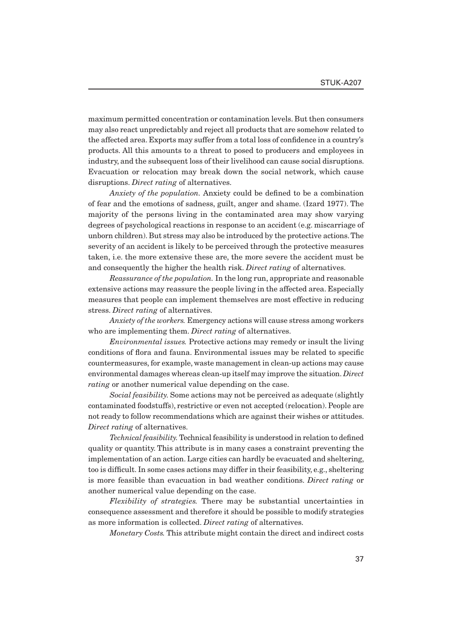maximum permitted concentration or contamination levels. But then consumers may also react unpredictably and reject all products that are somehow related to the affected area. Exports may suffer from a total loss of confidence in a country's products. All this amounts to a threat to posed to producers and employees in industry, and the subsequent loss of their livelihood can cause social disruptions. Evacuation or relocation may break down the social network, which cause disruptions. *Direct rating* of alternatives.

*Anxiety of the population.* Anxiety could be defined to be a combination of fear and the emotions of sadness, guilt, anger and shame. (Izard 1977). The majority of the persons living in the contaminated area may show varying degrees of psychological reactions in response to an accident (e.g. miscarriage of unborn children). But stress may also be introduced by the protective actions. The severity of an accident is likely to be perceived through the protective measures taken, i.e. the more extensive these are, the more severe the accident must be and consequently the higher the health risk. *Direct rating* of alternatives.

*Reassurance of the population.* In the long run, appropriate and reasonable extensive actions may reassure the people living in the affected area. Especially measures that people can implement themselves are most effective in reducing stress. *Direct rating* of alternatives.

*Anxiety of the workers.* Emergency actions will cause stress among workers who are implementing them. *Direct rating* of alternatives.

*Environmental issues.* Protective actions may remedy or insult the living conditions of flora and fauna. Environmental issues may be related to specific countermeasures, for example, waste management in clean-up actions may cause environmental damages whereas clean-up itself may improve the situation. *Direct rating* or another numerical value depending on the case.

*Social feasibility.* Some actions may not be perceived as adequate (slightly contaminated foodstuffs), restrictive or even not accepted (relocation). People are not ready to follow recommendations which are against their wishes or attitudes. *Direct rating* of alternatives.

*Technical feasibility*. Technical feasibility is understood in relation to defined quality or quantity. This attribute is in many cases a constraint preventing the implementation of an action. Large cities can hardly be evacuated and sheltering, too is difficult. In some cases actions may differ in their feasibility, e.g., sheltering is more feasible than evacuation in bad weather conditions. *Direct rating* or another numerical value depending on the case.

*Flexibility of strategies.* There may be substantial uncertainties in consequence assessment and therefore it should be possible to modify strategies as more information is collected. *Direct rating* of alternatives.

*Monetary Costs.* This attribute might contain the direct and indirect costs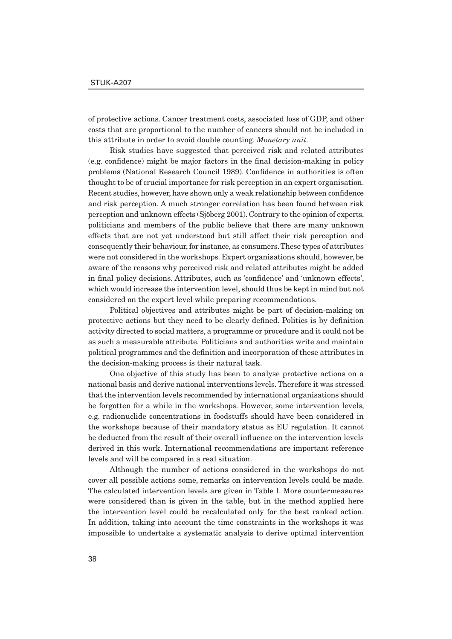of protective actions. Cancer treatment costs, associated loss of GDP, and other costs that are proportional to the number of cancers should not be included in this attribute in order to avoid double counting. *Monetary unit.*

Risk studies have suggested that perceived risk and related attributes (e.g. confidence) might be major factors in the final decision-making in policy problems (National Research Council 1989). Confidence in authorities is often thought to be of crucial importance for risk perception in an expert organisation. Recent studies, however, have shown only a weak relationship between confidence and risk perception. A much stronger correlation has been found between risk perception and unknown effects (Sjöberg 2001). Contrary to the opinion of experts, politicians and members of the public believe that there are many unknown effects that are not yet understood but still affect their risk perception and consequently their behaviour, for instance, as consumers. These types of attributes were not considered in the workshops. Expert organisations should, however, be aware of the reasons why perceived risk and related attributes might be added in final policy decisions. Attributes, such as 'confidence' and 'unknown effects', which would increase the intervention level, should thus be kept in mind but not considered on the expert level while preparing recommendations.

Political objectives and attributes might be part of decision-making on protective actions but they need to be clearly defined. Politics is by definition activity directed to social matters, a programme or procedure and it could not be as such a measurable attribute. Politicians and authorities write and maintain political programmes and the definition and incorporation of these attributes in the decision-making process is their natural task.

One objective of this study has been to analyse protective actions on a national basis and derive national interventions levels. Therefore it was stressed that the intervention levels recommended by international organisations should be forgotten for a while in the workshops. However, some intervention levels, e.g. radionuclide concentrations in foodstuffs should have been considered in the workshops because of their mandatory status as EU regulation. It cannot be deducted from the result of their overall influence on the intervention levels derived in this work. International recommendations are important reference levels and will be compared in a real situation.

Although the number of actions considered in the workshops do not cover all possible actions some, remarks on intervention levels could be made. The calculated intervention levels are given in Table I. More countermeasures were considered than is given in the table, but in the method applied here the intervention level could be recalculated only for the best ranked action. In addition, taking into account the time constraints in the workshops it was impossible to undertake a systematic analysis to derive optimal intervention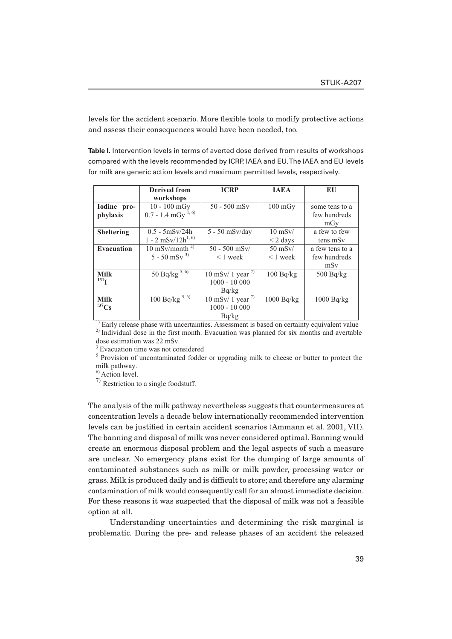levels for the accident scenario. More flexible tools to modify protective actions and assess their consequences would have been needed, too.

**Table I.** Intervention levels in terms of averted dose derived from results of workshops compared with the levels recommended by ICRP, IAEA and EU. The IAEA and EU levels for milk are generic action levels and maximum permitted levels, respectively.

|                   | Derived from                     | <b>ICRP</b>                  | <b>JAEA</b>       | EU                   |
|-------------------|----------------------------------|------------------------------|-------------------|----------------------|
|                   | workshops                        |                              |                   |                      |
| Iodine pro-       | $10 - 100$ mGy                   | $50 - 500$ mSv               | $100 \text{ mGy}$ | some tens to a       |
| phylaxis          | $0.7 - 1.4$ mGy $^{1,6)}$        |                              |                   | few hundreds         |
|                   |                                  |                              |                   | mGy                  |
| <b>Sheltering</b> | $0.5 - 5$ mSv/24h                | $5 - 50$ mSv/day             | $10$ mSv/         | a few to few         |
|                   | $1 - 2$ mSv/12h <sup>1, 6)</sup> |                              | $\leq$ 2 days     | tens mS <sub>v</sub> |
| <b>Evacuation</b> | 10 mSv/month $^{2}$              | $50 - 500$ mSv/              | $50$ mSv/         | a few tens to a      |
|                   | $5 - 50$ mSv <sup>3)</sup>       | $< 1$ week                   | $< 1$ week        | few hundreds         |
|                   |                                  |                              |                   | mSv                  |
| <b>Milk</b>       | 50 $B\overline{q/kg}^{5,6)}$     | 10 mSv/ 1 year $\frac{7}{2}$ | 100 Bq/kg         | 500 Bq/kg            |
| 131 <sub>T</sub>  |                                  | $1000 - 10000$               |                   |                      |
|                   |                                  | Bq/kg                        |                   |                      |
| <b>Milk</b>       | $100 Bq/kg^{5,6}$                | 10 mSv/ 1 year $^{7}$        | 1000 Bq/kg        | 1000 Bq/kg           |
| $^{137}Cs$        |                                  | $1000 - 10000$               |                   |                      |
|                   |                                  | Bq/kg                        |                   |                      |

<sup>1)</sup> Early release phase with uncertainties. Assessment is based on certainty equivalent value <sup>2)</sup> Individual dose in the first month. Evacuation was planned for six months and avertable dose estimation was 22 mSv.

<sup>3</sup> Evacuation time was not considered

<sup>5</sup> Provision of uncontaminated fodder or upgrading milk to cheese or butter to protect the milk pathway.

<sup>6)</sup> Action level.

7) Restriction to a single foodstuff.

The analysis of the milk pathway nevertheless suggests that countermeasures at concentration levels a decade below internationally recommended intervention levels can be justified in certain accident scenarios (Ammann et al. 2001, VII). The banning and disposal of milk was never considered optimal. Banning would create an enormous disposal problem and the legal aspects of such a measure are unclear. No emergency plans exist for the dumping of large amounts of contaminated substances such as milk or milk powder, processing water or grass. Milk is produced daily and is difficult to store; and therefore any alarming contamination of milk would consequently call for an almost immediate decision. For these reasons it was suspected that the disposal of milk was not a feasible option at all.

Understanding uncertainties and determining the risk marginal is problematic. During the pre- and release phases of an accident the released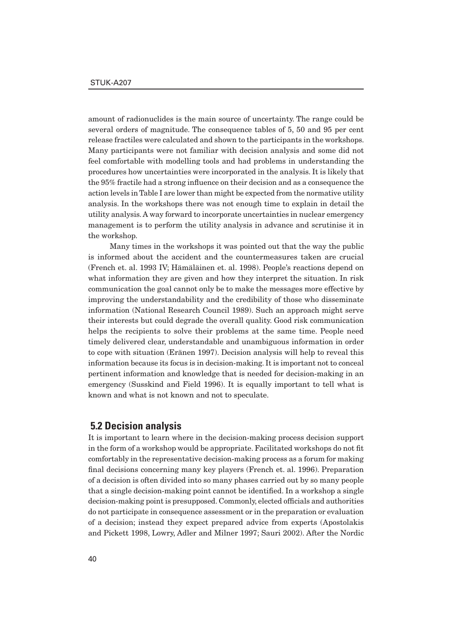amount of radionuclides is the main source of uncertainty. The range could be several orders of magnitude. The consequence tables of 5, 50 and 95 per cent release fractiles were calculated and shown to the participants in the workshops. Many participants were not familiar with decision analysis and some did not feel comfortable with modelling tools and had problems in understanding the procedures how uncertainties were incorporated in the analysis. It is likely that the 95% fractile had a strong influence on their decision and as a consequence the action levels in Table I are lower than might be expected from the normative utility analysis. In the workshops there was not enough time to explain in detail the utility analysis. A way forward to incorporate uncertainties in nuclear emergency management is to perform the utility analysis in advance and scrutinise it in the workshop.

Many times in the workshops it was pointed out that the way the public is informed about the accident and the countermeasures taken are crucial (French et. al. 1993 IV; Hämäläinen et. al. 1998). People's reactions depend on what information they are given and how they interpret the situation. In risk communication the goal cannot only be to make the messages more effective by improving the understandability and the credibility of those who disseminate information (National Research Council 1989). Such an approach might serve their interests but could degrade the overall quality. Good risk communication helps the recipients to solve their problems at the same time. People need timely delivered clear, understandable and unambiguous information in order to cope with situation (Eränen 1997). Decision analysis will help to reveal this information because its focus is in decision-making. It is important not to conceal pertinent information and knowledge that is needed for decision-making in an emergency (Susskind and Field 1996). It is equally important to tell what is known and what is not known and not to speculate.

### **5.2 Decision analysis**

It is important to learn where in the decision-making process decision support in the form of a workshop would be appropriate. Facilitated workshops do not fit comfortably in the representative decision-making process as a forum for making final decisions concerning many key players (French et. al. 1996). Preparation of a decision is often divided into so many phases carried out by so many people that a single decision-making point cannot be identified. In a workshop a single decision-making point is presupposed. Commonly, elected officials and authorities do not participate in consequence assessment or in the preparation or evaluation of a decision; instead they expect prepared advice from experts (Apostolakis and Pickett 1998, Lowry, Adler and Milner 1997; Sauri 2002). After the Nordic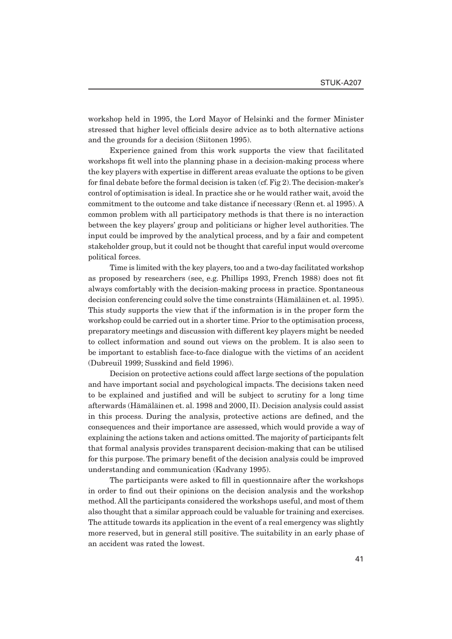workshop held in 1995, the Lord Mayor of Helsinki and the former Minister stressed that higher level officials desire advice as to both alternative actions and the grounds for a decision (Siitonen 1995).

Experience gained from this work supports the view that facilitated workshops fit well into the planning phase in a decision-making process where the key players with expertise in different areas evaluate the options to be given for final debate before the formal decision is taken  $(cf. Fig 2)$ . The decision-maker's control of optimisation is ideal. In practice she or he would rather wait, avoid the commitment to the outcome and take distance if necessary (Renn et. al 1995). A common problem with all participatory methods is that there is no interaction between the key players' group and politicians or higher level authorities. The input could be improved by the analytical process, and by a fair and competent stakeholder group, but it could not be thought that careful input would overcome political forces.

Time is limited with the key players, too and a two-day facilitated workshop as proposed by researchers (see, e.g. Phillips 1993, French 1988) does not fit always comfortably with the decision-making process in practice. Spontaneous decision conferencing could solve the time constraints (Hämäläinen et. al. 1995). This study supports the view that if the information is in the proper form the workshop could be carried out in a shorter time. Prior to the optimisation process, preparatory meetings and discussion with different key players might be needed to collect information and sound out views on the problem. It is also seen to be important to establish face-to-face dialogue with the victims of an accident (Dubreuil 1999; Susskind and field 1996).

Decision on protective actions could affect large sections of the population and have important social and psychological impacts. The decisions taken need to be explained and justified and will be subject to scrutiny for a long time afterwards (Hämäläinen et. al. 1998 and 2000, II). Decision analysis could assist in this process. During the analysis, protective actions are defined, and the consequences and their importance are assessed, which would provide a way of explaining the actions taken and actions omitted. The majority of participants felt that formal analysis provides transparent decision-making that can be utilised for this purpose. The primary benefit of the decision analysis could be improved understanding and communication (Kadvany 1995).

The participants were asked to fill in questionnaire after the workshops in order to find out their opinions on the decision analysis and the workshop method. All the participants considered the workshops useful, and most of them also thought that a similar approach could be valuable for training and exercises. The attitude towards its application in the event of a real emergency was slightly more reserved, but in general still positive. The suitability in an early phase of an accident was rated the lowest.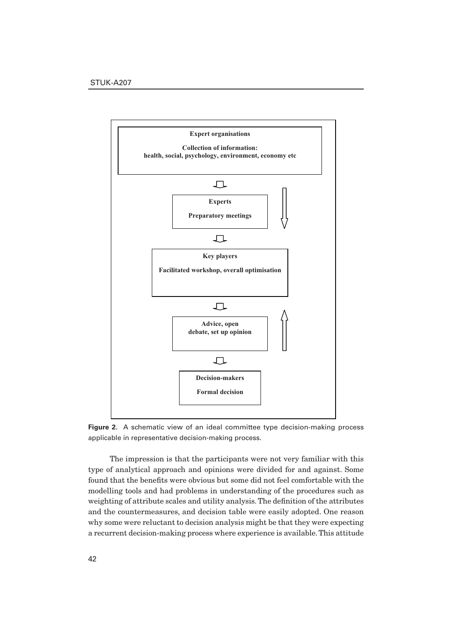

**Figure 2.** A schematic view of an ideal committee type decision-making process applicable in representative decision-making process.

The impression is that the participants were not very familiar with this type of analytical approach and opinions were divided for and against. Some found that the benefits were obvious but some did not feel comfortable with the modelling tools and had problems in understanding of the procedures such as weighting of attribute scales and utility analysis. The definition of the attributes and the countermeasures, and decision table were easily adopted. One reason why some were reluctant to decision analysis might be that they were expecting a recurrent decision-making process where experience is available. This attitude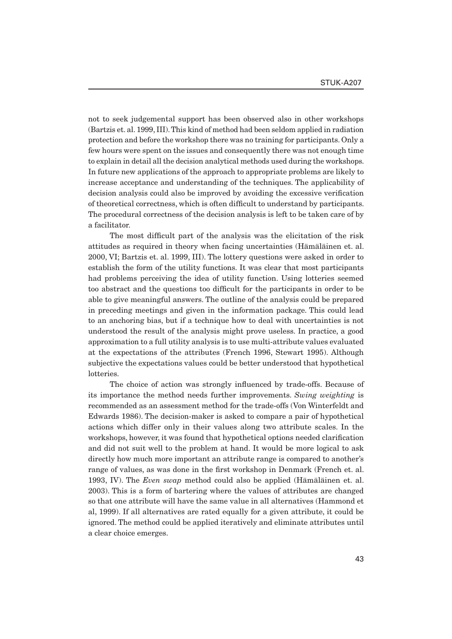not to seek judgemental support has been observed also in other workshops (Bartzis et. al. 1999, III). This kind of method had been seldom applied in radiation protection and before the workshop there was no training for participants. Only a few hours were spent on the issues and consequently there was not enough time to explain in detail all the decision analytical methods used during the workshops. In future new applications of the approach to appropriate problems are likely to increase acceptance and understanding of the techniques. The applicability of decision analysis could also be improved by avoiding the excessive verification of theoretical correctness, which is often difficult to understand by participants. The procedural correctness of the decision analysis is left to be taken care of by a facilitator.

The most difficult part of the analysis was the elicitation of the risk attitudes as required in theory when facing uncertainties (Hämäläinen et. al. 2000, VI; Bartzis et. al. 1999, III). The lottery questions were asked in order to establish the form of the utility functions. It was clear that most participants had problems perceiving the idea of utility function. Using lotteries seemed too abstract and the questions too difficult for the participants in order to be able to give meaningful answers. The outline of the analysis could be prepared in preceding meetings and given in the information package. This could lead to an anchoring bias, but if a technique how to deal with uncertainties is not understood the result of the analysis might prove useless. In practice, a good approximation to a full utility analysis is to use multi-attribute values evaluated at the expectations of the attributes (French 1996, Stewart 1995). Although subjective the expectations values could be better understood that hypothetical lotteries.

The choice of action was strongly influenced by trade-offs. Because of its importance the method needs further improvements. *Swing weighting* is recommended as an assessment method for the trade-offs (Von Winterfeldt and Edwards 1986). The decision-maker is asked to compare a pair of hypothetical actions which differ only in their values along two attribute scales. In the workshops, however, it was found that hypothetical options needed clarification and did not suit well to the problem at hand. It would be more logical to ask directly how much more important an attribute range is compared to another's range of values, as was done in the first workshop in Denmark (French et. al. 1993, IV). The *Even swap* method could also be applied (Hämäläinen et. al. 2003). This is a form of bartering where the values of attributes are changed so that one attribute will have the same value in all alternatives (Hammond et al, 1999). If all alternatives are rated equally for a given attribute, it could be ignored. The method could be applied iteratively and eliminate attributes until a clear choice emerges.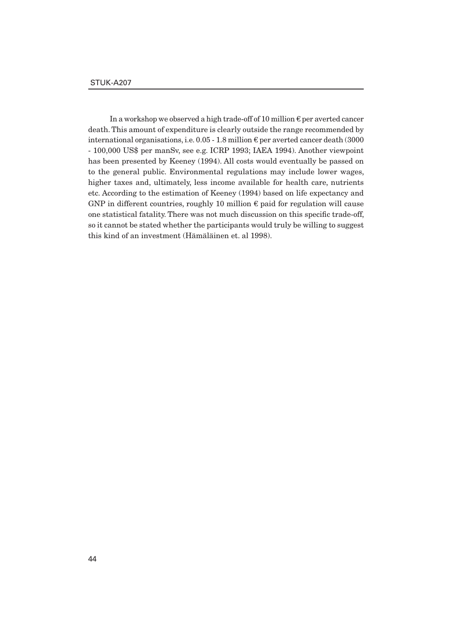In a workshop we observed a high trade-off of 10 million  $\epsilon$  per averted cancer death. This amount of expenditure is clearly outside the range recommended by international organisations, i.e.  $0.05 - 1.8$  million  $\epsilon$  per averted cancer death (3000) - 100,000 US\$ per manSv, see e.g. ICRP 1993; IAEA 1994). Another viewpoint has been presented by Keeney (1994). All costs would eventually be passed on to the general public. Environmental regulations may include lower wages, higher taxes and, ultimately, less income available for health care, nutrients etc. According to the estimation of Keeney (1994) based on life expectancy and GNP in different countries, roughly 10 million  $\epsilon$  paid for regulation will cause one statistical fatality. There was not much discussion on this specific trade-off, so it cannot be stated whether the participants would truly be willing to suggest this kind of an investment (Hämäläinen et. al 1998).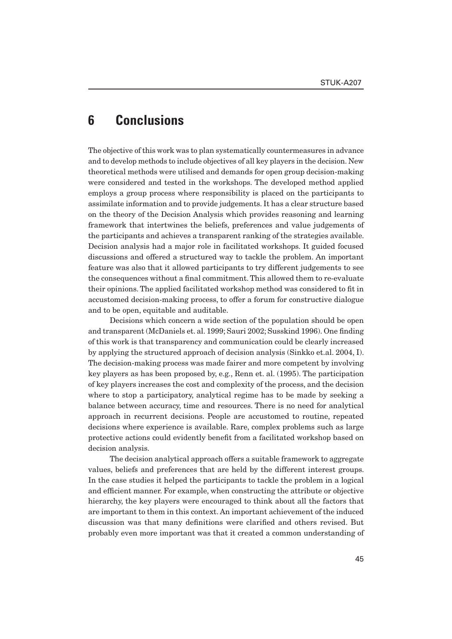# **6 Conclusions**

The objective of this work was to plan systematically countermeasures in advance and to develop methods to include objectives of all key players in the decision. New theoretical methods were utilised and demands for open group decision-making were considered and tested in the workshops. The developed method applied employs a group process where responsibility is placed on the participants to assimilate information and to provide judgements. It has a clear structure based on the theory of the Decision Analysis which provides reasoning and learning framework that intertwines the beliefs, preferences and value judgements of the participants and achieves a transparent ranking of the strategies available. Decision analysis had a major role in facilitated workshops. It guided focused discussions and offered a structured way to tackle the problem. An important feature was also that it allowed participants to try different judgements to see the consequences without a final commitment. This allowed them to re-evaluate their opinions. The applied facilitated workshop method was considered to fit in accustomed decision-making process, to offer a forum for constructive dialogue and to be open, equitable and auditable.

Decisions which concern a wide section of the population should be open and transparent (McDaniels et. al. 1999; Sauri 2002; Susskind 1996). One finding of this work is that transparency and communication could be clearly increased by applying the structured approach of decision analysis (Sinkko et.al. 2004, I). The decision-making process was made fairer and more competent by involving key players as has been proposed by, e.g., Renn et. al. (1995). The participation of key players increases the cost and complexity of the process, and the decision where to stop a participatory, analytical regime has to be made by seeking a balance between accuracy, time and resources. There is no need for analytical approach in recurrent decisions. People are accustomed to routine, repeated decisions where experience is available. Rare, complex problems such as large protective actions could evidently benefit from a facilitated workshop based on decision analysis.

The decision analytical approach offers a suitable framework to aggregate values, beliefs and preferences that are held by the different interest groups. In the case studies it helped the participants to tackle the problem in a logical and efficient manner. For example, when constructing the attribute or objective hierarchy, the key players were encouraged to think about all the factors that are important to them in this context. An important achievement of the induced discussion was that many definitions were clarified and others revised. But probably even more important was that it created a common understanding of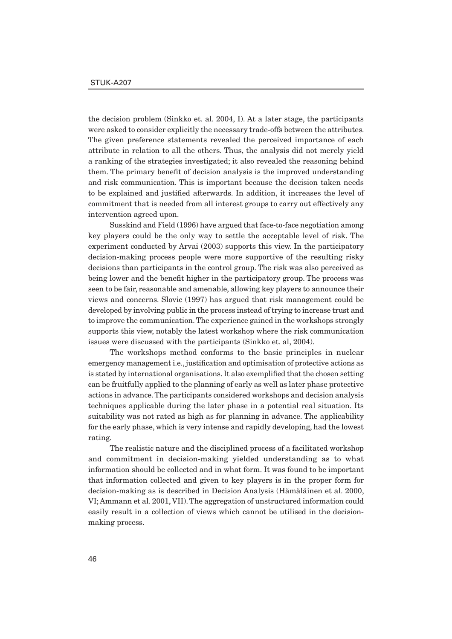the decision problem (Sinkko et. al. 2004, I). At a later stage, the participants were asked to consider explicitly the necessary trade-offs between the attributes. The given preference statements revealed the perceived importance of each attribute in relation to all the others. Thus, the analysis did not merely yield a ranking of the strategies investigated; it also revealed the reasoning behind them. The primary benefit of decision analysis is the improved understanding and risk communication. This is important because the decision taken needs to be explained and justified afterwards. In addition, it increases the level of commitment that is needed from all interest groups to carry out effectively any intervention agreed upon.

Susskind and Field (1996) have argued that face-to-face negotiation among key players could be the only way to settle the acceptable level of risk. The experiment conducted by Arvai (2003) supports this view. In the participatory decision-making process people were more supportive of the resulting risky decisions than participants in the control group. The risk was also perceived as being lower and the benefit higher in the participatory group. The process was seen to be fair, reasonable and amenable, allowing key players to announce their views and concerns. Slovic (1997) has argued that risk management could be developed by involving public in the process instead of trying to increase trust and to improve the communication. The experience gained in the workshops strongly supports this view, notably the latest workshop where the risk communication issues were discussed with the participants (Sinkko et. al, 2004).

The workshops method conforms to the basic principles in nuclear emergency management i.e., justification and optimisation of protective actions as is stated by international organisations. It also exemplified that the chosen setting can be fruitfully applied to the planning of early as well as later phase protective actions in advance. The participants considered workshops and decision analysis techniques applicable during the later phase in a potential real situation. Its suitability was not rated as high as for planning in advance. The applicability for the early phase, which is very intense and rapidly developing, had the lowest rating.

The realistic nature and the disciplined process of a facilitated workshop and commitment in decision-making yielded understanding as to what information should be collected and in what form. It was found to be important that information collected and given to key players is in the proper form for decision-making as is described in Decision Analysis (Hämäläinen et al. 2000, VI; Ammann et al. 2001, VII). The aggregation of unstructured information could easily result in a collection of views which cannot be utilised in the decisionmaking process.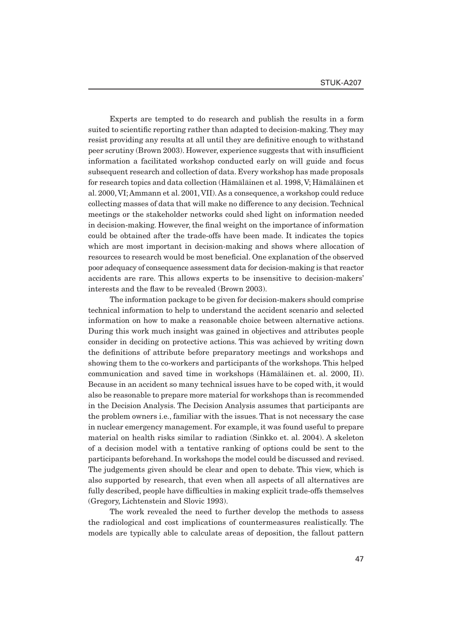Experts are tempted to do research and publish the results in a form suited to scientific reporting rather than adapted to decision-making. They may resist providing any results at all until they are definitive enough to withstand peer scrutiny (Brown 2003). However, experience suggests that with insufficient information a facilitated workshop conducted early on will guide and focus subsequent research and collection of data. Every workshop has made proposals for research topics and data collection (Hämäläinen et al. 1998, V; Hämäläinen et al. 2000, VI; Ammann et al. 2001, VII). As a consequence, a workshop could reduce collecting masses of data that will make no difference to any decision. Technical meetings or the stakeholder networks could shed light on information needed in decision-making. However, the final weight on the importance of information could be obtained after the trade-offs have been made. It indicates the topics which are most important in decision-making and shows where allocation of resources to research would be most beneficial. One explanation of the observed poor adequacy of consequence assessment data for decision-making is that reactor accidents are rare. This allows experts to be insensitive to decision-makers' interests and the flaw to be revealed (Brown 2003).

The information package to be given for decision-makers should comprise technical information to help to understand the accident scenario and selected information on how to make a reasonable choice between alternative actions. During this work much insight was gained in objectives and attributes people consider in deciding on protective actions. This was achieved by writing down the definitions of attribute before preparatory meetings and workshops and showing them to the co-workers and participants of the workshops. This helped communication and saved time in workshops (Hämäläinen et. al. 2000, II). Because in an accident so many technical issues have to be coped with, it would also be reasonable to prepare more material for workshops than is recommended in the Decision Analysis. The Decision Analysis assumes that participants are the problem owners i.e., familiar with the issues. That is not necessary the case in nuclear emergency management. For example, it was found useful to prepare material on health risks similar to radiation (Sinkko et. al. 2004). A skeleton of a decision model with a tentative ranking of options could be sent to the participants beforehand. In workshops the model could be discussed and revised. The judgements given should be clear and open to debate. This view, which is also supported by research, that even when all aspects of all alternatives are fully described, people have difficulties in making explicit trade-offs themselves (Gregory, Lichtenstein and Slovic 1993).

The work revealed the need to further develop the methods to assess the radiological and cost implications of countermeasures realistically. The models are typically able to calculate areas of deposition, the fallout pattern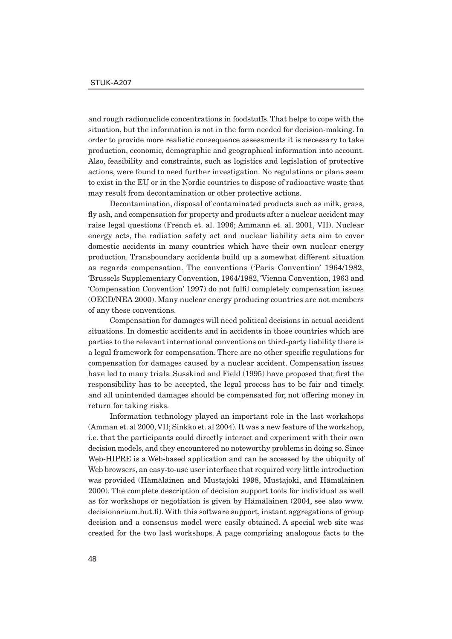and rough radionuclide concentrations in foodstuffs. That helps to cope with the situation, but the information is not in the form needed for decision-making. In order to provide more realistic consequence assessments it is necessary to take production, economic, demographic and geographical information into account. Also, feasibility and constraints, such as logistics and legislation of protective actions, were found to need further investigation. No regulations or plans seem to exist in the EU or in the Nordic countries to dispose of radioactive waste that may result from decontamination or other protective actions.

Decontamination, disposal of contaminated products such as milk, grass, fly ash, and compensation for property and products after a nuclear accident may raise legal questions (French et. al. 1996; Ammann et. al. 2001, VII). Nuclear energy acts, the radiation safety act and nuclear liability acts aim to cover domestic accidents in many countries which have their own nuclear energy production. Transboundary accidents build up a somewhat different situation as regards compensation. The conventions ('Paris Convention' 1964/1982, 'Brussels Supplementary Convention, 1964/1982, 'Vienna Convention, 1963 and 'Compensation Convention' 1997) do not fulfi l completely compensation issues (OECD/NEA 2000). Many nuclear energy producing countries are not members of any these conventions.

Compensation for damages will need political decisions in actual accident situations. In domestic accidents and in accidents in those countries which are parties to the relevant international conventions on third-party liability there is a legal framework for compensation. There are no other specific regulations for compensation for damages caused by a nuclear accident. Compensation issues have led to many trials. Susskind and Field (1995) have proposed that first the responsibility has to be accepted, the legal process has to be fair and timely, and all unintended damages should be compensated for, not offering money in return for taking risks.

Information technology played an important role in the last workshops (Amman et. al 2000, VII; Sinkko et. al 2004). It was a new feature of the workshop, i.e. that the participants could directly interact and experiment with their own decision models, and they encountered no noteworthy problems in doing so. Since Web-HIPRE is a Web-based application and can be accessed by the ubiquity of Web browsers, an easy-to-use user interface that required very little introduction was provided (Hämäläinen and Mustajoki 1998, Mustajoki, and Hämäläinen 2000). The complete description of decision support tools for individual as well as for workshops or negotiation is given by Hämäläinen (2004, see also www. decisionarium.hut.fi. With this software support, instant aggregations of group decision and a consensus model were easily obtained. A special web site was created for the two last workshops. A page comprising analogous facts to the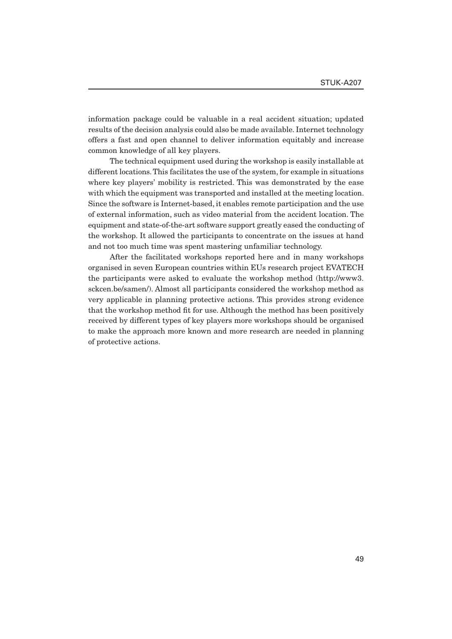information package could be valuable in a real accident situation; updated results of the decision analysis could also be made available. Internet technology offers a fast and open channel to deliver information equitably and increase common knowledge of all key players.

The technical equipment used during the workshop is easily installable at different locations. This facilitates the use of the system, for example in situations where key players' mobility is restricted. This was demonstrated by the ease with which the equipment was transported and installed at the meeting location. Since the software is Internet-based, it enables remote participation and the use of external information, such as video material from the accident location. The equipment and state-of-the-art software support greatly eased the conducting of the workshop. It allowed the participants to concentrate on the issues at hand and not too much time was spent mastering unfamiliar technology.

After the facilitated workshops reported here and in many workshops organised in seven European countries within EUs research project EVATECH the participants were asked to evaluate the workshop method (http://www3. sckcen.be/samen/). Almost all participants considered the workshop method as very applicable in planning protective actions. This provides strong evidence that the workshop method fit for use. Although the method has been positively received by different types of key players more workshops should be organised to make the approach more known and more research are needed in planning of protective actions.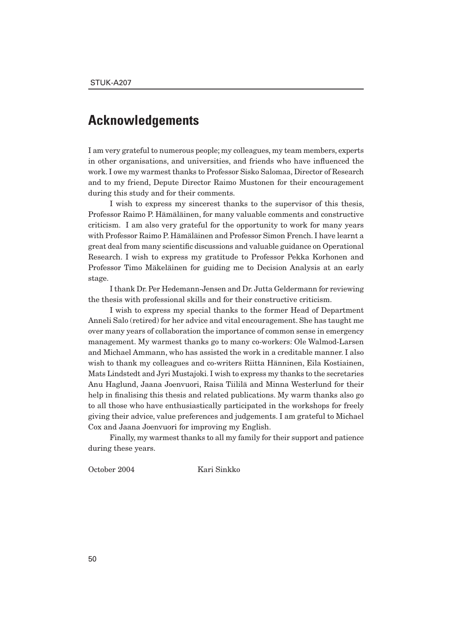### **Acknowledgements**

I am very grateful to numerous people; my colleagues, my team members, experts in other organisations, and universities, and friends who have influenced the work. I owe my warmest thanks to Professor Sisko Salomaa, Director of Research and to my friend, Depute Director Raimo Mustonen for their encouragement during this study and for their comments.

I wish to express my sincerest thanks to the supervisor of this thesis, Professor Raimo P. Hämäläinen, for many valuable comments and constructive criticism. I am also very grateful for the opportunity to work for many years with Professor Raimo P. Hämäläinen and Professor Simon French. I have learnt a great deal from many scientific discussions and valuable guidance on Operational Research. I wish to express my gratitude to Professor Pekka Korhonen and Professor Timo Mäkeläinen for guiding me to Decision Analysis at an early stage.

I thank Dr. Per Hedemann-Jensen and Dr. Jutta Geldermann for reviewing the thesis with professional skills and for their constructive criticism.

I wish to express my special thanks to the former Head of Department Anneli Salo (retired) for her advice and vital encouragement. She has taught me over many years of collaboration the importance of common sense in emergency management. My warmest thanks go to many co-workers: Ole Walmod-Larsen and Michael Ammann, who has assisted the work in a creditable manner. I also wish to thank my colleagues and co-writers Riitta Hänninen, Eila Kostiainen, Mats Lindstedt and Jyri Mustajoki. I wish to express my thanks to the secretaries Anu Haglund, Jaana Joenvuori, Raisa Tiililä and Minna Westerlund for their help in finalising this thesis and related publications. My warm thanks also go to all those who have enthusiastically participated in the workshops for freely giving their advice, value preferences and judgements. I am grateful to Michael Cox and Jaana Joenvuori for improving my English.

Finally, my warmest thanks to all my family for their support and patience during these years.

October 2004 Kari Sinkko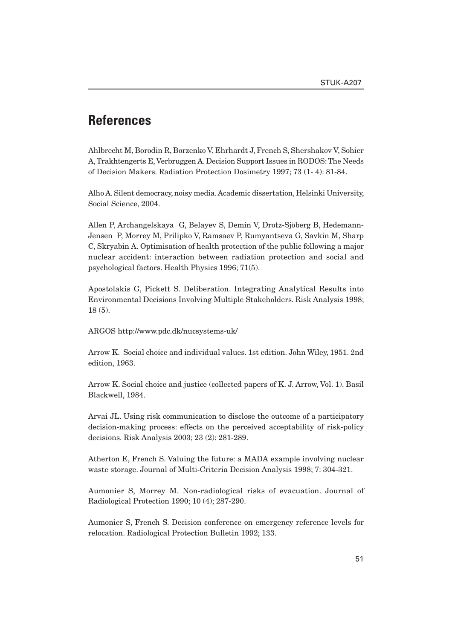# **References**

Ahlbrecht M, Borodin R, Borzenko V, Ehrhardt J, French S, Shershakov V, Sohier A, Trakhtengerts E, Verbruggen A. Decision Support Issues in RODOS: The Needs of Decision Makers. Radiation Protection Dosimetry 1997; 73 (1- 4): 81-84.

Alho A. Silent democracy, noisy media. Academic dissertation, Helsinki University, Social Science, 2004.

Allen P, Archangelskaya G, Belayev S, Demin V, Drotz-Sjöberg B, Hedemann-Jensen P, Morrey M, Prilipko V, Ramsaev P, Rumyantseva G, Savkin M, Sharp C, Skryabin A. Optimisation of health protection of the public following a major nuclear accident: interaction between radiation protection and social and psychological factors. Health Physics 1996; 71(5).

Apostolakis G, Pickett S. Deliberation. Integrating Analytical Results into Environmental Decisions Involving Multiple Stakeholders. Risk Analysis 1998; 18 (5).

ARGOS http://www.pdc.dk/nucsystems-uk/

Arrow K. Social choice and individual values. 1st edition. John Wiley, 1951. 2nd edition, 1963.

Arrow K. Social choice and justice (collected papers of K. J. Arrow, Vol. 1). Basil Blackwell, 1984.

Arvai JL. Using risk communication to disclose the outcome of a participatory decision-making process: effects on the perceived acceptability of risk-policy decisions. Risk Analysis 2003; 23 (2): 281-289.

Atherton E, French S. Valuing the future: a MADA example involving nuclear waste storage. Journal of Multi-Criteria Decision Analysis 1998; 7: 304-321.

Aumonier S, Morrey M. Non-radiological risks of evacuation. Journal of Radiological Protection 1990; 10 (4); 287-290.

Aumonier S, French S. Decision conference on emergency reference levels for relocation. Radiological Protection Bulletin 1992; 133.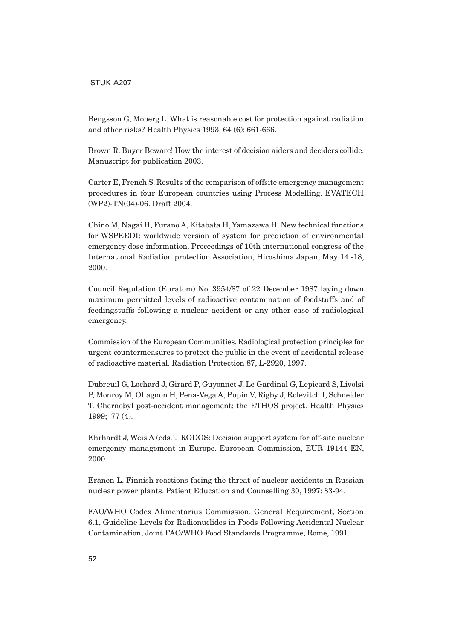Bengsson G, Moberg L. What is reasonable cost for protection against radiation and other risks? Health Physics 1993; 64 (6): 661-666.

Brown R. Buyer Beware! How the interest of decision aiders and deciders collide. Manuscript for publication 2003.

Carter E, French S. Results of the comparison of offsite emergency management procedures in four European countries using Process Modelling. EVATECH (WP2)-TN(04)-06. Draft 2004.

Chino M, Nagai H, Furano A, Kitabata H, Yamazawa H. New technical functions for WSPEEDI: worldwide version of system for prediction of environmental emergency dose information. Proceedings of 10th international congress of the International Radiation protection Association, Hiroshima Japan, May 14 -18, 2000.

Council Regulation (Euratom) No. 3954/87 of 22 December 1987 laying down maximum permitted levels of radioactive contamination of foodstuffs and of feedingstuffs following a nuclear accident or any other case of radiological emergency.

Commission of the European Communities. Radiological protection principles for urgent countermeasures to protect the public in the event of accidental release of radioactive material. Radiation Protection 87, L-2920, 1997.

Dubreuil G, Lochard J, Girard P, Guyonnet J, Le Gardinal G, Lepicard S, Livolsi P, Monroy M, Ollagnon H, Pena-Vega A, Pupin V, Rigby J, Rolevitch I, Schneider T. Chernobyl post-accident management: the ETHOS project. Health Physics 1999; 77 (4).

Ehrhardt J, Weis A (eds.). RODOS: Decision support system for off-site nuclear emergency management in Europe. European Commission, EUR 19144 EN, 2000.

Eränen L. Finnish reactions facing the threat of nuclear accidents in Russian nuclear power plants. Patient Education and Counselling 30, 1997: 83-94.

FAO/WHO Codex Alimentarius Commission. General Requirement, Section 6.1, Guideline Levels for Radionuclides in Foods Following Accidental Nuclear Contamination, Joint FAO/WHO Food Standards Programme, Rome, 1991.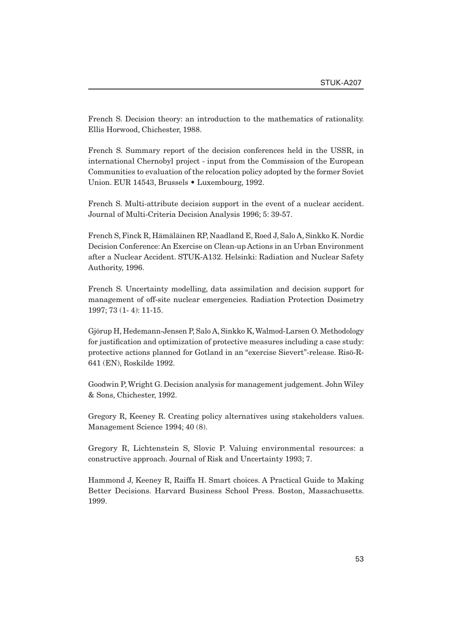French S. Decision theory: an introduction to the mathematics of rationality. Ellis Horwood, Chichester, 1988.

French S. Summary report of the decision conferences held in the USSR, in international Chernobyl project - input from the Commission of the European Communities to evaluation of the relocation policy adopted by the former Soviet Union. EUR 14543, Brussels • Luxembourg, 1992.

French S. Multi-attribute decision support in the event of a nuclear accident. Journal of Multi-Criteria Decision Analysis 1996; 5: 39-57.

French S, Finck R, Hämäläinen RP, Naadland E, Roed J, Salo A, Sinkko K. Nordic Decision Conference: An Exercise on Clean-up Actions in an Urban Environment after a Nuclear Accident. STUK-A132. Helsinki: Radiation and Nuclear Safety Authority, 1996.

French S. Uncertainty modelling, data assimilation and decision support for management of off-site nuclear emergencies. Radiation Protection Dosimetry 1997; 73 (1- 4): 11-15.

Gjörup H, Hedemann-Jensen P, Salo A, Sinkko K, Walmod-Larsen O. Methodology for justification and optimization of protective measures including a case study: protective actions planned for Gotland in an "exercise Sievert"-release. Risö-R-641 (EN), Roskilde 1992.

Goodwin P, Wright G. Decision analysis for management judgement. John Wiley & Sons, Chichester, 1992.

Gregory R, Keeney R. Creating policy alternatives using stakeholders values. Management Science 1994; 40 (8).

Gregory R, Lichtenstein S, Slovic P. Valuing environmental resources: a constructive approach. Journal of Risk and Uncertainty 1993; 7.

Hammond J, Keeney R, Raiffa H. Smart choices. A Practical Guide to Making Better Decisions. Harvard Business School Press. Boston, Massachusetts. 1999.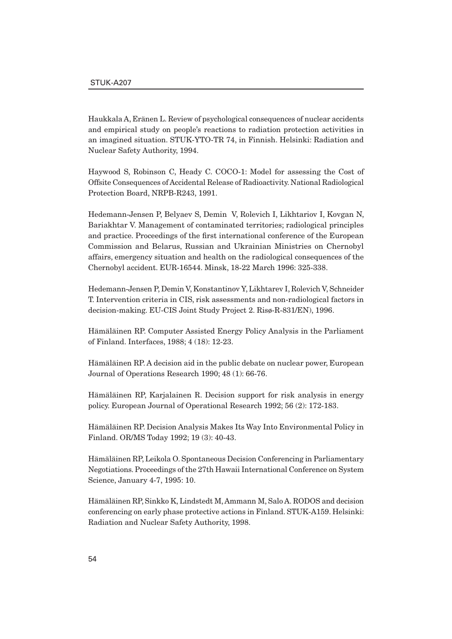Haukkala A, Eränen L. Review of psychological consequences of nuclear accidents and empirical study on people's reactions to radiation protection activities in an imagined situation. STUK-YTO-TR 74, in Finnish. Helsinki: Radiation and Nuclear Safety Authority, 1994.

Haywood S, Robinson C, Heady C. COCO-1: Model for assessing the Cost of Offsite Consequences of Accidental Release of Radioactivity. National Radiological Protection Board, NRPB-R243, 1991.

Hedemann-Jensen P, Belyaev S, Demin V, Rolevich I, Likhtariov I, Kovgan N, Bariakhtar V. Management of contaminated territories; radiological principles and practice. Proceedings of the first international conference of the European Commission and Belarus, Russian and Ukrainian Ministries on Chernobyl affairs, emergency situation and health on the radiological consequences of the Chernobyl accident. EUR-16544. Minsk, 18-22 March 1996: 325-338.

Hedemann-Jensen P, Demin V, Konstantinov Y, Likhtarev I, Rolevich V, Schneider T. Intervention criteria in CIS, risk assessments and non-radiological factors in decision-making. EU-CIS Joint Study Project 2. Risø-R-831/EN), 1996.

Hämäläinen RP. Computer Assisted Energy Policy Analysis in the Parliament of Finland. Interfaces, 1988; 4 (18): 12-23.

Hämäläinen RP. A decision aid in the public debate on nuclear power, European Journal of Operations Research 1990; 48 (1): 66-76.

Hämäläinen RP, Karjalainen R. Decision support for risk analysis in energy policy. European Journal of Operational Research 1992; 56 (2): 172-183.

Hämäläinen RP. Decision Analysis Makes Its Way Into Environmental Policy in Finland. OR/MS Today 1992; 19 (3): 40-43.

Hämäläinen RP, Leikola O. Spontaneous Decision Conferencing in Parliamentary Negotiations. Proceedings of the 27th Hawaii International Conference on System Science, January 4-7, 1995: 10.

Hämäläinen RP, Sinkko K, Lindstedt M, Ammann M, Salo A. RODOS and decision conferencing on early phase protective actions in Finland. STUK-A159. Helsinki: Radiation and Nuclear Safety Authority, 1998.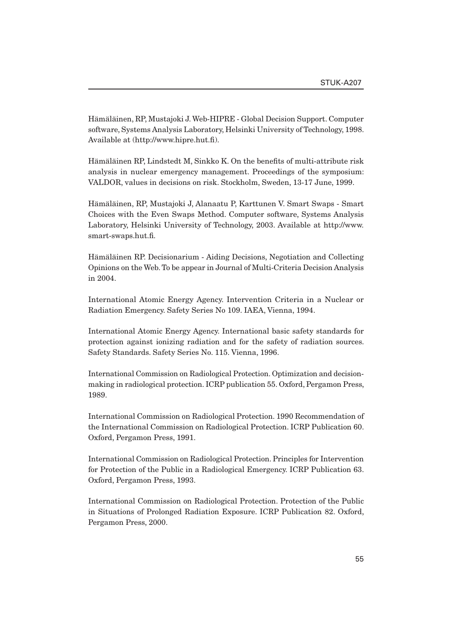Hämäläinen, RP, Mustajoki J. Web-HIPRE - Global Decision Support. Computer software, Systems Analysis Laboratory, Helsinki University of Technology, 1998. Available at (http://www.hipre.hut.fi).

Hämäläinen RP, Lindstedt M, Sinkko K. On the benefits of multi-attribute risk analysis in nuclear emergency management. Proceedings of the symposium: VALDOR, values in decisions on risk. Stockholm, Sweden, 13-17 June, 1999.

Hämäläinen, RP, Mustajoki J, Alanaatu P, Karttunen V. Smart Swaps - Smart Choices with the Even Swaps Method. Computer software, Systems Analysis Laboratory, Helsinki University of Technology, 2003. Available at http://www. smart-swaps.hut.fi.

Hämäläinen RP. Decisionarium - Aiding Decisions, Negotiation and Collecting Opinions on the Web. To be appear in Journal of Multi-Criteria Decision Analysis in 2004.

International Atomic Energy Agency. Intervention Criteria in a Nuclear or Radiation Emergency. Safety Series No 109. IAEA, Vienna, 1994.

International Atomic Energy Agency. International basic safety standards for protection against ionizing radiation and for the safety of radiation sources. Safety Standards. Safety Series No. 115. Vienna, 1996.

International Commission on Radiological Protection. Optimization and decisionmaking in radiological protection. ICRP publication 55. Oxford, Pergamon Press, 1989.

International Commission on Radiological Protection. 1990 Recommendation of the International Commission on Radiological Protection. ICRP Publication 60. Oxford, Pergamon Press, 1991.

International Commission on Radiological Protection. Principles for Intervention for Protection of the Public in a Radiological Emergency. ICRP Publication 63. Oxford, Pergamon Press, 1993.

International Commission on Radiological Protection. Protection of the Public in Situations of Prolonged Radiation Exposure. ICRP Publication 82. Oxford, Pergamon Press, 2000.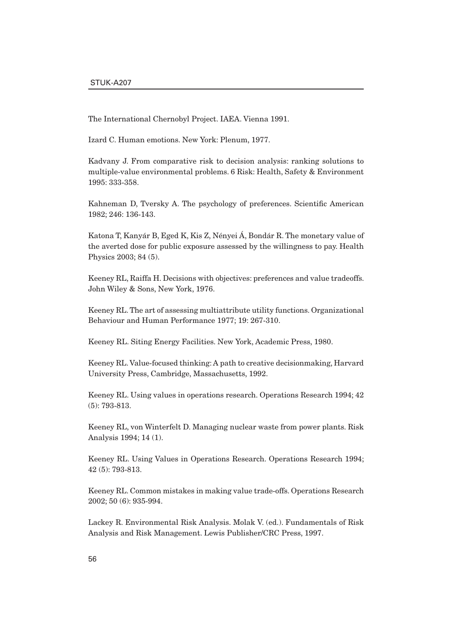The International Chernobyl Project. IAEA. Vienna 1991.

Izard C. Human emotions. New York: Plenum, 1977.

Kadvany J. From comparative risk to decision analysis: ranking solutions to multiple-value environmental problems. 6 Risk: Health, Safety & Environment 1995: 333-358.

Kahneman D, Tversky A. The psychology of preferences. Scientific American 1982; 246: 136-143.

Katona T, Kanyár B, Eged K, Kis Z, Nényei Á, Bondár R. The monetary value of the averted dose for public exposure assessed by the willingness to pay. Health Physics 2003; 84 (5).

Keeney RL, Raiffa H. Decisions with objectives: preferences and value tradeoffs. John Wiley & Sons, New York, 1976.

Keeney RL. The art of assessing multiattribute utility functions. Organizational Behaviour and Human Performance 1977; 19: 267-310.

Keeney RL. Siting Energy Facilities. New York, Academic Press, 1980.

Keeney RL. Value-focused thinking: A path to creative decisionmaking, Harvard University Press, Cambridge, Massachusetts, 1992.

Keeney RL. Using values in operations research. Operations Research 1994; 42 (5): 793-813.

Keeney RL, von Winterfelt D. Managing nuclear waste from power plants. Risk Analysis 1994; 14 (1).

Keeney RL. Using Values in Operations Research. Operations Research 1994; 42 (5): 793-813.

Keeney RL. Common mistakes in making value trade-offs. Operations Research 2002; 50 (6): 935-994.

Lackey R. Environmental Risk Analysis. Molak V. (ed.). Fundamentals of Risk Analysis and Risk Management. Lewis Publisher/CRC Press, 1997.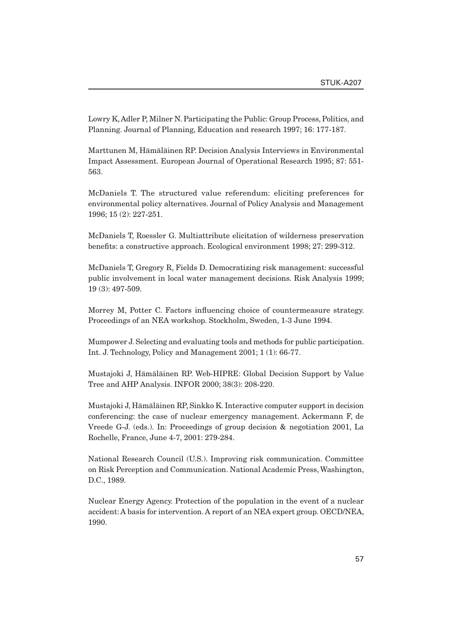Lowry K, Adler P, Milner N. Participating the Public: Group Process, Politics, and Planning. Journal of Planning, Education and research 1997; 16: 177-187.

Marttunen M, Hämäläinen RP. Decision Analysis Interviews in Environmental Impact Assessment. European Journal of Operational Research 1995; 87: 551- 563.

McDaniels T. The structured value referendum: eliciting preferences for environmental policy alternatives. Journal of Policy Analysis and Management 1996; 15 (2): 227-251.

McDaniels T, Roessler G. Multiattribute elicitation of wilderness preservation benefits: a constructive approach. Ecological environment 1998; 27: 299-312.

McDaniels T, Gregory R, Fields D. Democratizing risk management: successful public involvement in local water management decisions. Risk Analysis 1999; 19 (3): 497-509.

Morrey M, Potter C. Factors influencing choice of countermeasure strategy. Proceedings of an NEA workshop. Stockholm, Sweden, 1-3 June 1994.

Mumpower J. Selecting and evaluating tools and methods for public participation. Int. J. Technology, Policy and Management 2001; 1 (1): 66-77.

Mustajoki J, Hämäläinen RP. Web-HIPRE: Global Decision Support by Value Tree and AHP Analysis. INFOR 2000; 38(3): 208-220.

Mustajoki J, Hämäläinen RP, Sinkko K. Interactive computer support in decision conferencing: the case of nuclear emergency management. Ackermann F, de Vreede G-J. (eds.). In: Proceedings of group decision & negotiation 2001, La Rochelle, France, June 4-7, 2001: 279-284.

National Research Council (U.S.). Improving risk communication. Committee on Risk Perception and Communication. National Academic Press, Washington, D.C., 1989.

Nuclear Energy Agency. Protection of the population in the event of a nuclear accident: A basis for intervention. A report of an NEA expert group. OECD/NEA, 1990.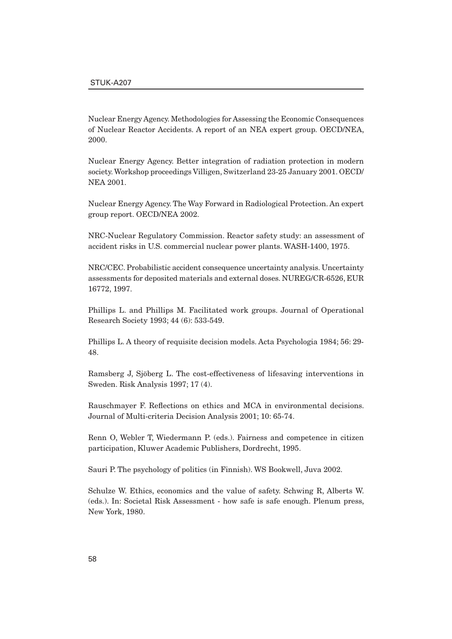Nuclear Energy Agency. Methodologies for Assessing the Economic Consequences of Nuclear Reactor Accidents. A report of an NEA expert group. OECD/NEA, 2000.

Nuclear Energy Agency. Better integration of radiation protection in modern society. Workshop proceedings Villigen, Switzerland 23-25 January 2001. OECD/ NEA 2001.

Nuclear Energy Agency. The Way Forward in Radiological Protection. An expert group report. OECD/NEA 2002.

NRC-Nuclear Regulatory Commission. Reactor safety study: an assessment of accident risks in U.S. commercial nuclear power plants. WASH-1400, 1975.

NRC/CEC. Probabilistic accident consequence uncertainty analysis. Uncertainty assessments for deposited materials and external doses. NUREG/CR-6526, EUR 16772, 1997.

Phillips L. and Phillips M. Facilitated work groups. Journal of Operational Research Society 1993; 44 (6): 533-549.

Phillips L. A theory of requisite decision models. Acta Psychologia 1984; 56: 29- 48.

Ramsberg J, Sjöberg L. The cost-effectiveness of lifesaving interventions in Sweden. Risk Analysis 1997; 17 (4).

Rauschmayer F. Reflections on ethics and MCA in environmental decisions. Journal of Multi-criteria Decision Analysis 2001; 10: 65-74.

Renn O, Webler T, Wiedermann P. (eds.). Fairness and competence in citizen participation, Kluwer Academic Publishers, Dordrecht, 1995.

Sauri P. The psychology of politics (in Finnish). WS Bookwell, Juva 2002.

Schulze W. Ethics, economics and the value of safety. Schwing R, Alberts W. (eds.). In: Societal Risk Assessment - how safe is safe enough. Plenum press, New York, 1980.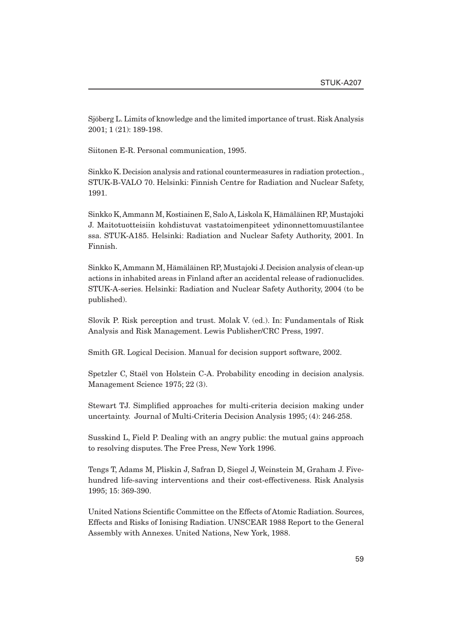Sjöberg L. Limits of knowledge and the limited importance of trust. Risk Analysis 2001; 1 (21): 189-198.

Siitonen E-R. Personal communication, 1995.

Sinkko K. Decision analysis and rational countermeasures in radiation protection., STUK-B-VALO 70. Helsinki: Finnish Centre for Radiation and Nuclear Safety, 1991.

Sinkko K, Ammann M, Kostiainen E, Salo A, Liskola K, Hämäläinen RP, Mustajoki J. Maitotuotteisiin kohdistuvat vastatoimenpiteet ydinonnettomuustilantee ssa. STUK-A185. Helsinki: Radiation and Nuclear Safety Authority, 2001. In Finnish.

Sinkko K, Ammann M, Hämäläinen RP, Mustajoki J. Decision analysis of clean-up actions in inhabited areas in Finland after an accidental release of radionuclides. STUK-A-series. Helsinki: Radiation and Nuclear Safety Authority, 2004 (to be published).

Slovik P. Risk perception and trust. Molak V. (ed.). In: Fundamentals of Risk Analysis and Risk Management. Lewis Publisher/CRC Press, 1997.

Smith GR. Logical Decision. Manual for decision support software, 2002.

Spetzler C, Staël von Holstein C-A. Probability encoding in decision analysis. Management Science 1975; 22 (3).

Stewart TJ. Simplified approaches for multi-criteria decision making under uncertainty. Journal of Multi-Criteria Decision Analysis 1995; (4): 246-258.

Susskind L, Field P. Dealing with an angry public: the mutual gains approach to resolving disputes. The Free Press, New York 1996.

Tengs T, Adams M, Pliskin J, Safran D, Siegel J, Weinstein M, Graham J. Fivehundred life-saving interventions and their cost-effectiveness. Risk Analysis 1995; 15: 369-390.

United Nations Scientific Committee on the Effects of Atomic Radiation. Sources, Effects and Risks of Ionising Radiation. UNSCEAR 1988 Report to the General Assembly with Annexes. United Nations, New York, 1988.